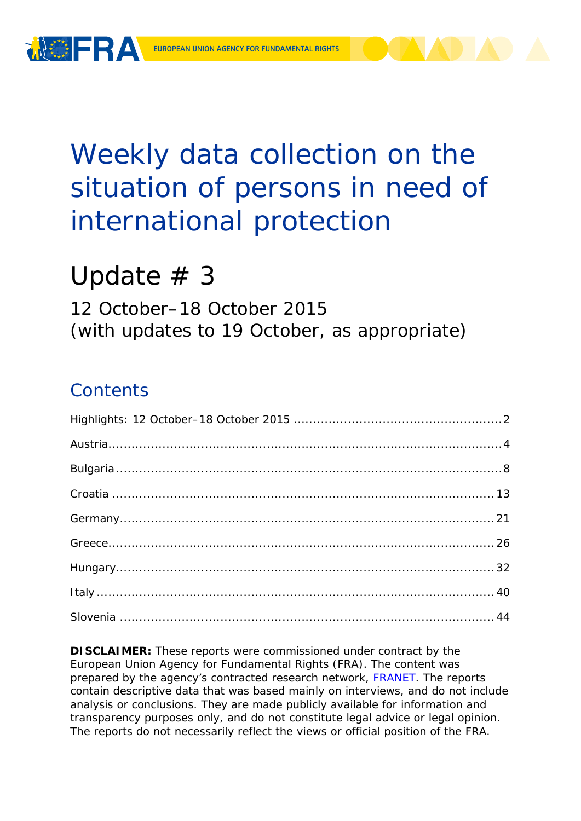

# Weekly data collection on the situation of persons in need of international protection

# Update  $# 3$

12 October–18 October 2015 (with updates to 19 October, as appropriate)

## **Contents**

**DISCLAIMER:** These reports were commissioned under contract by the European Union Agency for Fundamental Rights (FRA). The content was prepared by the agency's contracted research network, [FRANET.](http://fra.europa.eu/en/research/franet) The reports contain descriptive data that was based mainly on interviews, and do not include analysis or conclusions. They are made publicly available for information and transparency purposes only, and do not constitute legal advice or legal opinion. The reports do not necessarily reflect the views or official position of the FRA.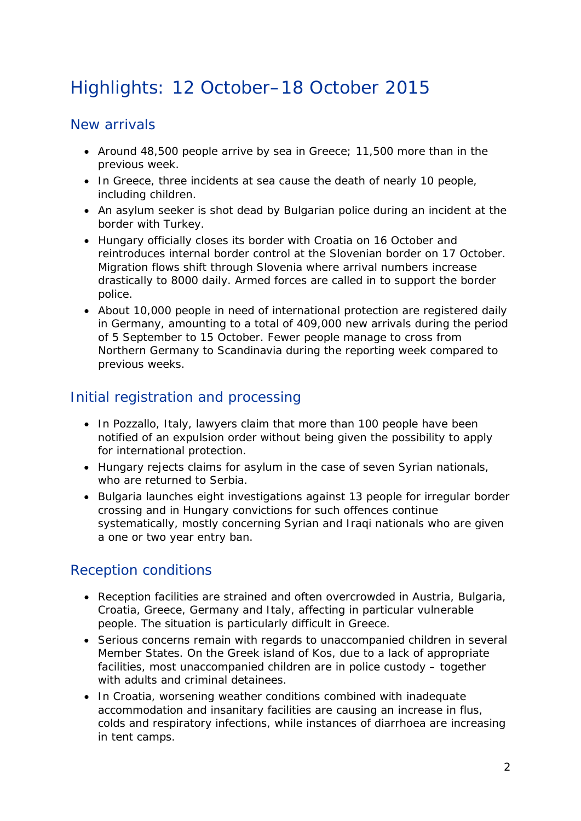## <span id="page-1-0"></span>Highlights: 12 October–18 October 2015

## New arrivals

- Around 48,500 people arrive by sea in Greece; 11,500 more than in the previous week.
- In Greece, three incidents at sea cause the death of nearly 10 people, including children.
- An asylum seeker is shot dead by Bulgarian police during an incident at the border with Turkey.
- Hungary officially closes its border with Croatia on 16 October and reintroduces internal border control at the Slovenian border on 17 October. Migration flows shift through Slovenia where arrival numbers increase drastically to 8000 daily. Armed forces are called in to support the border police.
- About 10,000 people in need of international protection are registered daily in Germany, amounting to a total of 409,000 new arrivals during the period of 5 September to 15 October. Fewer people manage to cross from Northern Germany to Scandinavia during the reporting week compared to previous weeks.

## Initial registration and processing

- In Pozzallo, Italy, lawyers claim that more than 100 people have been notified of an expulsion order without being given the possibility to apply for international protection.
- Hungary rejects claims for asylum in the case of seven Syrian nationals, who are returned to Serbia.
- Bulgaria launches eight investigations against 13 people for irregular border crossing and in Hungary convictions for such offences continue systematically, mostly concerning Syrian and Iraqi nationals who are given a one or two year entry ban.

## Reception conditions

- Reception facilities are strained and often overcrowded in Austria, Bulgaria, Croatia, Greece, Germany and Italy, affecting in particular vulnerable people. The situation is particularly difficult in Greece.
- Serious concerns remain with regards to unaccompanied children in several Member States. On the Greek island of Kos, due to a lack of appropriate facilities, most unaccompanied children are in police custody – together with adults and criminal detainees.
- In Croatia, worsening weather conditions combined with inadequate accommodation and insanitary facilities are causing an increase in flus, colds and respiratory infections, while instances of diarrhoea are increasing in tent camps.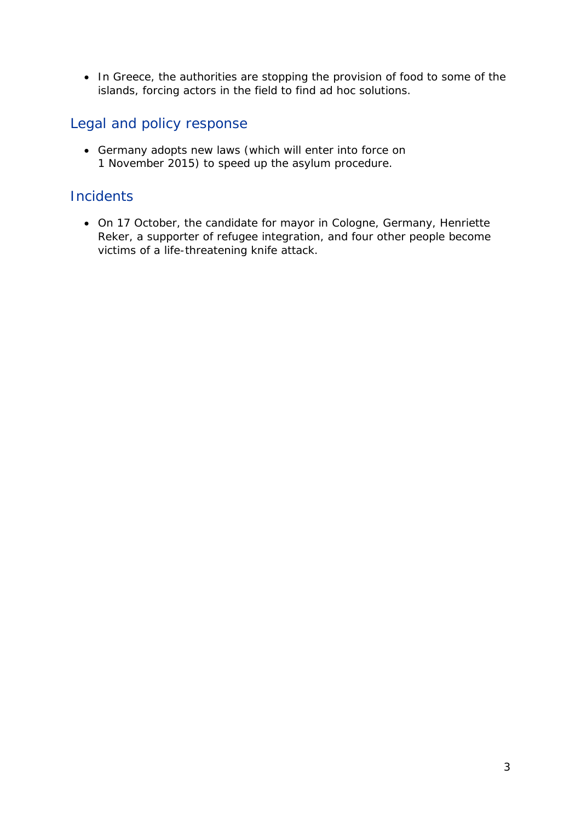• In Greece, the authorities are stopping the provision of food to some of the islands, forcing actors in the field to find ad hoc solutions.

## Legal and policy response

• Germany adopts new laws (which will enter into force on 1 November 2015) to speed up the asylum procedure.

## **Incidents**

• On 17 October, the candidate for mayor in Cologne, Germany, Henriette Reker, a supporter of refugee integration, and four other people become victims of a life-threatening knife attack.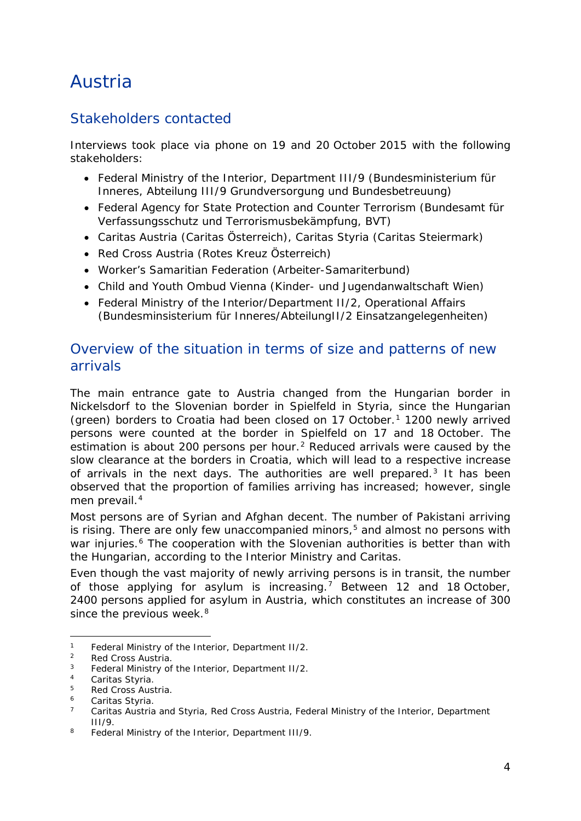## <span id="page-3-0"></span>Austria

## Stakeholders contacted

Interviews took place via phone on 19 and 20 October 2015 with the following stakeholders:

- Federal Ministry of the Interior, Department III/9 (Bundesministerium für Inneres, Abteilung III/9 Grundversorgung und Bundesbetreuung)
- Federal Agency for State Protection and Counter Terrorism (Bundesamt für Verfassungsschutz und Terrorismusbekämpfung, BVT)
- Caritas Austria (Caritas Österreich), Caritas Styria (Caritas Steiermark)
- Red Cross Austria (Rotes Kreuz Österreich)
- Worker's Samaritian Federation (Arbeiter-Samariterbund)
- Child and Youth Ombud Vienna (Kinder- und Jugendanwaltschaft Wien)
- Federal Ministry of the Interior/Department II/2, Operational Affairs (Bundesminsisterium für Inneres/AbteilungII/2 Einsatzangelegenheiten)

## Overview of the situation in terms of size and patterns of new arrivals

The main entrance gate to Austria changed from the Hungarian border in Nickelsdorf to the Slovenian border in Spielfeld in Styria, since the Hungarian (green) borders to Croatia had been closed on [1](#page-3-1)7 October.<sup>1</sup> 1200 newly arrived persons were counted at the border in Spielfeld on 17 and 18 October. The estimation is about [2](#page-3-2)00 persons per hour.<sup>2</sup> Reduced arrivals were caused by the slow clearance at the borders in Croatia, which will lead to a respective increase of arrivals in the next days. The authorities are well prepared.<sup>[3](#page-3-3)</sup> It has been observed that the proportion of families arriving has increased; however, single men prevail.<sup>[4](#page-3-4)</sup>

Most persons are of Syrian and Afghan decent. The number of Pakistani arriving is rising. There are only few unaccompanied minors,<sup>[5](#page-3-5)</sup> and almost no persons with war injuries.<sup>[6](#page-3-6)</sup> The cooperation with the Slovenian authorities is better than with the Hungarian, according to the Interior Ministry and Caritas.

Even though the vast majority of newly arriving persons is in transit, the number of those applying for asylum is increasing.<sup>[7](#page-3-7)</sup> Between 12 and 18 October, 2400 persons applied for asylum in Austria, which constitutes an increase of 300 since the previous week.<sup>[8](#page-3-8)</sup>

<span id="page-3-1"></span><sup>&</sup>lt;sup>1</sup> Federal Ministry of the Interior, Department II/2.<br><sup>2</sup> Red Cross Austria -

<span id="page-3-2"></span> $\frac{2}{3}$  Red Cross Austria.

<span id="page-3-3"></span> $3$  Federal Ministry of the Interior, Department II/2.

<span id="page-3-4"></span><sup>&</sup>lt;sup>4</sup> Caritas Styria.

<span id="page-3-5"></span> $5$  Red Cross Austria.

<span id="page-3-6"></span><sup>&</sup>lt;sup>6</sup> Caritas Styria.<br><sup>7</sup> Caritas Austria

<span id="page-3-7"></span>Caritas Austria and Styria, Red Cross Austria, Federal Ministry of the Interior, Department III/9.

<span id="page-3-8"></span><sup>8</sup> Federal Ministry of the Interior, Department III/9.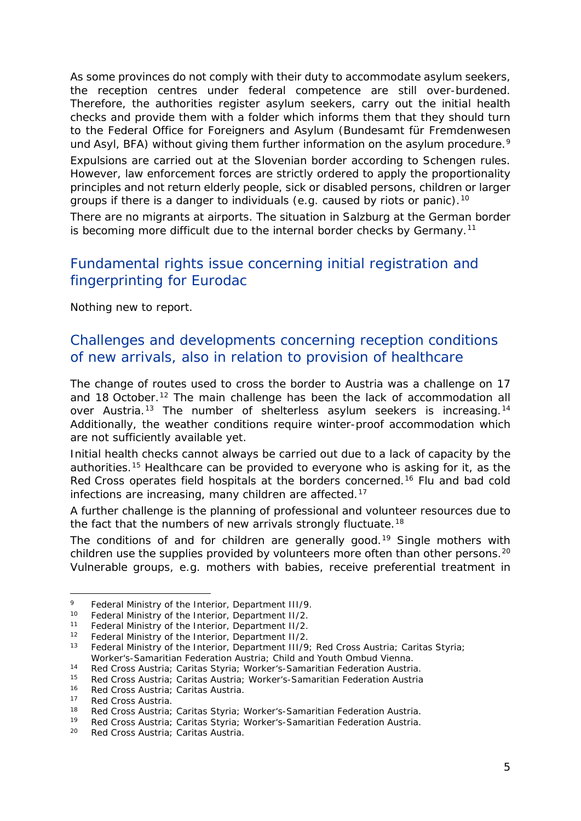<span id="page-4-4"></span>As some provinces do not comply with their duty to accommodate asylum seekers, the reception centres under federal competence are still over-burdened. Therefore, the authorities register asylum seekers, carry out the initial health checks and provide them with a folder which informs them that they should turn to the Federal Office for Foreigners and Asylum (*Bundesamt für Fremdenwesen und Asyl, BFA*) without giving them further information on the asylum procedure.<sup>[9](#page-4-0)</sup>

Expulsions are carried out at the Slovenian border according to Schengen rules. However, law enforcement forces are strictly ordered to apply the proportionality principles and not return elderly people, sick or disabled persons, children or larger groups if there is a danger to individuals (e.g. caused by riots or panic).[10](#page-4-1)

There are no migrants at airports. The situation in Salzburg at the German border is becoming more difficult due to the internal border checks by Germany.<sup>[11](#page-4-2)</sup>

## Fundamental rights issue concerning initial registration and fingerprinting for Eurodac

Nothing new to report.

## Challenges and developments concerning reception conditions of new arrivals, also in relation to provision of healthcare

The change of routes used to cross the border to Austria was a challenge on 17 and 18 October.<sup>[12](#page-4-3)</sup> The main challenge has been the lack of accommodation all over Austria.<sup>[13](#page-4-4)</sup> The number of shelterless asylum seekers is increasing.<sup>[14](#page-4-4)</sup> Additionally, the weather conditions require winter-proof accommodation which are not sufficiently available yet.

Initial health checks cannot always be carried out due to a lack of capacity by the authorities.[15](#page-4-5) Healthcare can be provided to everyone who is asking for it, as the Red Cross operates field hospitals at the borders concerned.[16](#page-4-4) Flu and bad cold infections are increasing, many children are affected.<sup>[17](#page-4-4)</sup>

A further challenge is the planning of professional and volunteer resources due to the fact that the numbers of new arrivals strongly fluctuate.<sup>[18](#page-4-6)</sup>

The conditions of and for children are generally good.<sup>[19](#page-4-7)</sup> Single mothers with children use the supplies provided by volunteers more often than other persons.<sup>20</sup> Vulnerable groups, e.g. mothers with babies, receive preferential treatment in

<span id="page-4-0"></span><sup>9</sup> Federal Ministry of the Interior, Department III/9.<br>10 Federal Ministry of the Interior, Department II/3  $\overline{9}$ 

<span id="page-4-1"></span><sup>&</sup>lt;sup>10</sup> Federal Ministry of the Interior, Department II/2.<br><sup>11</sup> Eoderal Ministry of the Interior, Department II/2.

<span id="page-4-2"></span><sup>&</sup>lt;sup>11</sup> Federal Ministry of the Interior, Department II/2.<br><sup>12</sup> Eoderal Ministry of the Interior, Department II/2.

<span id="page-4-3"></span><sup>&</sup>lt;sup>12</sup> Federal Ministry of the Interior, Department II/2.<br><sup>13</sup> Eederal Ministry of the Interior, Department III/9

Federal Ministry of the Interior, Department III/9; Red Cross Austria; Caritas Styria; Worker's-Samaritian Federation Austria; Child and Youth Ombud Vienna.

<sup>14</sup> Red Cross Austria; Caritas Styria; Worker's-Samaritian Federation Austria.<br>15 Red Cross Austria: Caritas Austria: Worker's Samaritian Federation Austria. <sup>15</sup> Red Cross Austria; Caritas Austria; Worker's-Samaritian Federation Austria

<span id="page-4-5"></span><sup>&</sup>lt;sup>16</sup> Red Cross Austria; Caritas Austria.

<sup>&</sup>lt;sup>17</sup> Red Cross Austria.<br><sup>18</sup> Ped Cross Austria:

Red Cross Austria; Caritas Styria; Worker's-Samaritian Federation Austria.

<span id="page-4-6"></span><sup>19</sup> Red Cross Austria; Caritas Styria; Worker's-Samaritian Federation Austria.

<span id="page-4-7"></span><sup>20</sup> Red Cross Austria; Caritas Austria.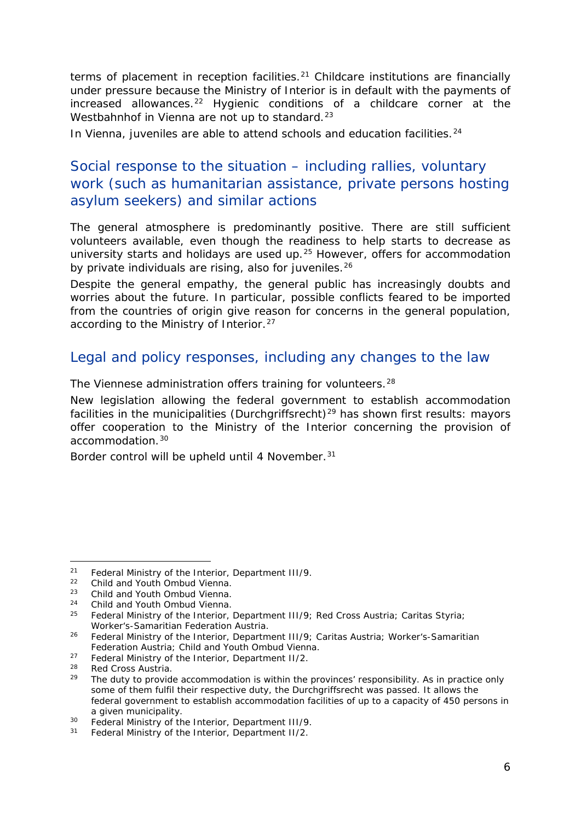<span id="page-5-5"></span>terms of placement in reception facilities.<sup>[21](#page-5-0)</sup> Childcare institutions are financially under pressure because the Ministry of Interior is in default with the payments of increased allowances.<sup>[22](#page-5-1)</sup> Hygienic conditions of a childcare corner at the Westbahnhof in Vienna are not up to standard.<sup>[23](#page-5-2)</sup>

In Vienna, juveniles are able to attend schools and education facilities.<sup>[24](#page-5-3)</sup>

## Social response to the situation – including rallies, voluntary work (such as humanitarian assistance, private persons hosting asylum seekers) and similar actions

The general atmosphere is predominantly positive. There are still sufficient volunteers available, even though the readiness to help starts to decrease as university starts and holidays are used up.<sup>[25](#page-5-4)</sup> However, offers for accommodation by private individuals are rising, also for juveniles.<sup>[26](#page-5-5)</sup>

Despite the general empathy, the general public has increasingly doubts and worries about the future. In particular, possible conflicts feared to be imported from the countries of origin give reason for concerns in the general population, according to the Ministry of Interior.<sup>[27](#page-5-6)</sup>

### Legal and policy responses, including any changes to the law

The Viennese administration offers training for volunteers.<sup>[28](#page-5-7)</sup>

New legislation allowing the federal government to establish accommodation facilities in the municipalities (*Durchgriffsrecht*)<sup>[29](#page-5-8)</sup> has shown first results: mayors offer cooperation to the Ministry of the Interior concerning the provision of accommodation.[30](#page-5-5)

Border control will be upheld until 4 November.<sup>[31](#page-5-9)</sup>

<span id="page-5-0"></span><sup>&</sup>lt;sup>21</sup> Federal Ministry of the Interior, Department III/9.<br><sup>22</sup> Child and Youth Ombud Vianna.

<span id="page-5-1"></span><sup>&</sup>lt;sup>22</sup> Child and Youth Ombud Vienna.<br><sup>23</sup> Child and Youth Ombud Vienna.

<span id="page-5-2"></span><sup>&</sup>lt;sup>23</sup> Child and Youth Ombud Vienna.<br><sup>24</sup> Child and Youth Ombud Vienna.

<span id="page-5-4"></span><span id="page-5-3"></span><sup>&</sup>lt;sup>24</sup> Child and Youth Ombud Vienna.<br><sup>25</sup> Eederal Ministry of the Interior

<sup>25</sup> Federal Ministry of the Interior, Department III/9; Red Cross Austria; Caritas Styria; Worker's-Samaritian Federation Austria.

<sup>&</sup>lt;sup>26</sup> Federal Ministry of the Interior, Department III/9; Caritas Austria; Worker's-Samaritian Federation Austria; Child and Youth Ombud Vienna.

<span id="page-5-6"></span><sup>&</sup>lt;sup>27</sup> Federal Ministry of the Interior, Department II/2.<br> $^{28}$  Ped Cress Austria

<span id="page-5-8"></span><span id="page-5-7"></span> $28$  Red Cross Austria.<br> $29$  The duty to provide

The duty to provide accommodation is within the provinces' responsibility. As in practice only some of them fulfil their respective duty, the *Durchgriffsrecht* was passed. It allows the federal government to establish accommodation facilities of up to a capacity of 450 persons in a given municipality.

<sup>&</sup>lt;sup>30</sup> Federal Ministry of the Interior, Department III/9.

<span id="page-5-9"></span><sup>31</sup> Federal Ministry of the Interior, Department II/2.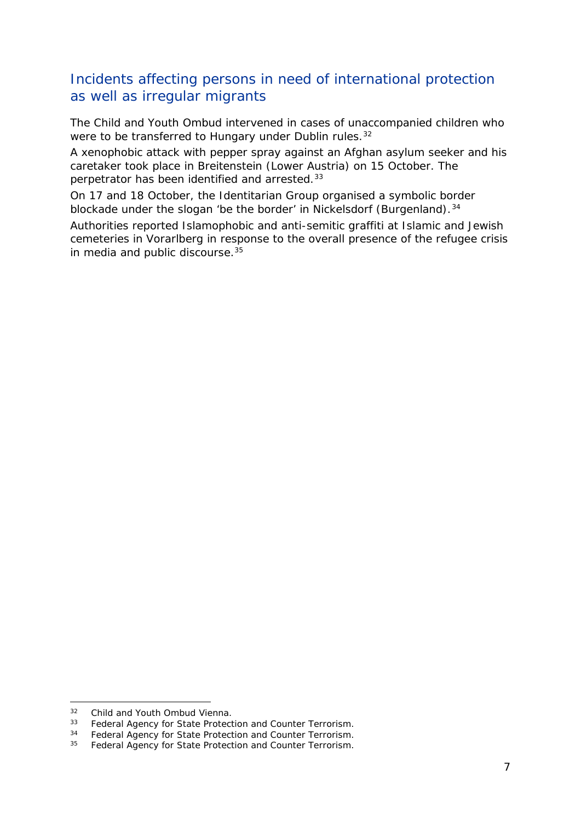## Incidents affecting persons in need of international protection as well as irregular migrants

The Child and Youth Ombud intervened in cases of unaccompanied children who were to be transferred to Hungary under Dublin rules.<sup>[32](#page-6-0)</sup>

A xenophobic attack with pepper spray against an Afghan asylum seeker and his caretaker took place in Breitenstein (Lower Austria) on 15 October. The perpetrator has been identified and arrested.[33](#page-6-1)

On 17 and 18 October, the Identitarian Group organised a symbolic border blockade under the slogan 'be the border' in Nickelsdorf (Burgenland).<sup>[34](#page-6-2)</sup>

Authorities reported Islamophobic and anti-semitic graffiti at Islamic and Jewish cemeteries in Vorarlberg in response to the overall presence of the refugee crisis in media and public discourse.<sup>35</sup>

<span id="page-6-0"></span><sup>&</sup>lt;sup>32</sup> Child and Youth Ombud Vienna.<br><sup>33</sup> Eederal Agency for State Protect  $32$ 

<span id="page-6-1"></span><sup>&</sup>lt;sup>33</sup> Federal Agency for State Protection and Counter Terrorism.<br><sup>34</sup> Eederal Agency for State Protection and Counter Terrorism

<span id="page-6-3"></span><span id="page-6-2"></span><sup>&</sup>lt;sup>34</sup> Federal Agency for State Protection and Counter Terrorism.

Federal Agency for State Protection and Counter Terrorism.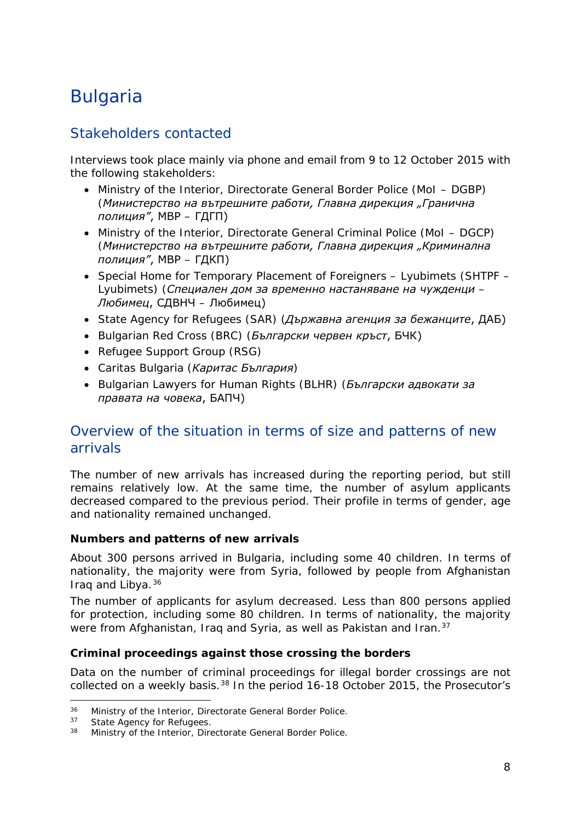## <span id="page-7-0"></span>Bulgaria

## Stakeholders contacted

Interviews took place mainly via phone and email from 9 to 12 October 2015 with the following stakeholders:

- Ministry of the Interior, Directorate General Border Police (MoI DGBP) (*Министерство на вътрешните работи, Главна дирекция "Гранична полиция"*, МВР – ГДГП)
- Ministry of the Interior, Directorate General Criminal Police (MoI DGCP) (*Министерство на вътрешните работи, Главна дирекция "Криминална полиция"*, МВР – ГДКП)
- Special Home for Temporary Placement of Foreigners Lyubimets (SHTPF Lyubimets) (*Специален дом за временно настаняване на чужденци – Любимец*, СДВНЧ – Любимец)
- State Agency for Refugees (SAR) (*Държавна агенция за бежанците*, ДАБ)
- Bulgarian Red Cross (BRC) (*Български червен кръст*, БЧК)
- Refugee Support Group (RSG)
- Caritas Bulgaria (*Каритас България*)
- Bulgarian Lawyers for Human Rights (BLHR) (*Български адвокати за правата на човека*, БАПЧ)

## Overview of the situation in terms of size and patterns of new arrivals

The number of new arrivals has increased during the reporting period, but still remains relatively low. At the same time, the number of asylum applicants decreased compared to the previous period. Their profile in terms of gender, age and nationality remained unchanged.

#### **Numbers and patterns of new arrivals**

About 300 persons arrived in Bulgaria, including some 40 children. In terms of nationality, the majority were from Syria, followed by people from Afghanistan Iraq and Libya.[36](#page-7-1)

The number of applicants for asylum decreased. Less than 800 persons applied for protection, including some 80 children. In terms of nationality, the majority were from Afghanistan, Irag and Syria, as well as Pakistan and Iran.<sup>[37](#page-7-2)</sup>

#### **Criminal proceedings against those crossing the borders**

Data on the number of criminal proceedings for illegal border crossings are not collected on a weekly basis.<sup>[38](#page-7-3)</sup> In the period 16-18 October 2015, the Prosecutor's

<span id="page-7-1"></span><sup>&</sup>lt;sup>36</sup> Ministry of the Interior, Directorate General Border Police.<br><sup>37</sup> State Agency for Pofugees  $36$ 

<span id="page-7-3"></span><span id="page-7-2"></span> $37$  State Agency for Refugees.<br> $38$  Ministry of the Interior Dire

Ministry of the Interior, Directorate General Border Police.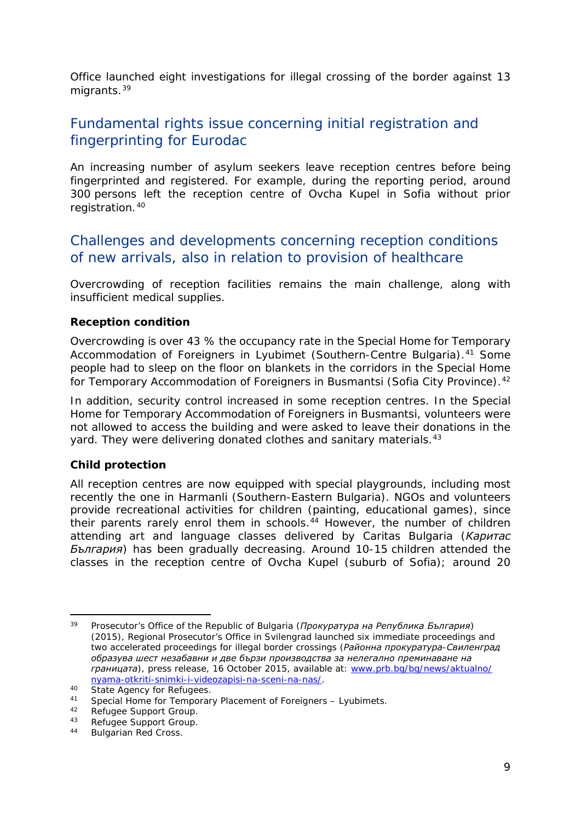<span id="page-8-3"></span>Office launched eight investigations for illegal crossing of the border against 13 migrants.[39](#page-8-0)

## Fundamental rights issue concerning initial registration and fingerprinting for Eurodac

An increasing number of asylum seekers leave reception centres before being fingerprinted and registered. For example, during the reporting period, around 300 persons left the reception centre of Ovcha Kupel in Sofia without prior registration.[40](#page-8-1)

## Challenges and developments concerning reception conditions of new arrivals, also in relation to provision of healthcare

Overcrowding of reception facilities remains the main challenge, along with insufficient medical supplies.

#### **Reception condition**

Overcrowding is over 43 % the occupancy rate in the Special Home for Temporary Accommodation of Foreigners in Lyubimet (Southern-Centre Bulgaria).<sup>[41](#page-8-2)</sup> Some people had to sleep on the floor on blankets in the corridors in the Special Home for Temporary Accommodation of Foreigners in Busmantsi (Sofia City Province).<sup>42</sup>

In addition, security control increased in some reception centres. In the Special Home for Temporary Accommodation of Foreigners in Busmantsi, volunteers were not allowed to access the building and were asked to leave their donations in the yard. They were delivering donated clothes and sanitary materials.<sup>[43](#page-8-4)</sup>

#### **Child protection**

All reception centres are now equipped with special playgrounds, including most recently the one in Harmanli (Southern-Eastern Bulgaria). NGOs and volunteers provide recreational activities for children (painting, educational games), since their parents rarely enrol them in schools.[44](#page-8-5) However, the number of children attending art and language classes delivered by Caritas Bulgaria (*Каритас България*) has been gradually decreasing. Around 10-15 children attended the classes in the reception centre of Ovcha Kupel (suburb of Sofia); around 20

<span id="page-8-0"></span><sup>39</sup> Prosecutor's Office of the Republic of Bulgaria (*Прокуратура на Република България*) (2015), Regional Prosecutor's Office in Svilengrad launched six immediate proceedings and two accelerated proceedings for illegal border crossings (*Районна прокуратура-Свиленград образува шест незабавни и две бързи производства за нелегално преминаване на границата*), press release, 16 October 2015, available at: [www.prb.bg/bg/news/aktualno/](http://www.prb.bg/bg/news/aktualno/nyama-otkriti-snimki-i-videozapisi-na-sceni-na-nas/) [nyama-otkriti-snimki-i-videozapisi-na-sceni-na-nas/.](http://www.prb.bg/bg/news/aktualno/nyama-otkriti-snimki-i-videozapisi-na-sceni-na-nas/) 39

<span id="page-8-1"></span><sup>40</sup> State Agency for Refugees.

<span id="page-8-2"></span><sup>41</sup> Special Home for Temporary Placement of Foreigners – Lyubimets.<br>42 Bofusee Support Croup

Refugee Support Group.

<span id="page-8-4"></span><sup>43</sup> Refugee Support Group.

<span id="page-8-5"></span><sup>44</sup> Bulgarian Red Cross.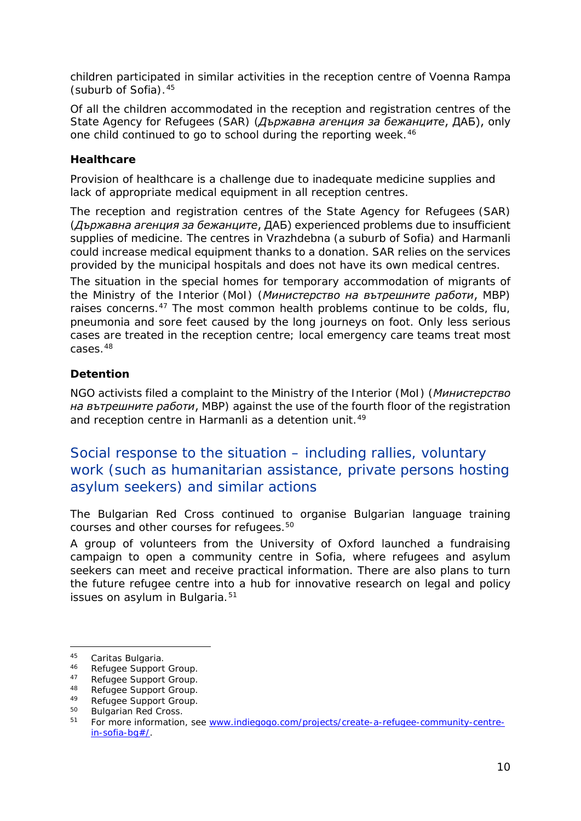<span id="page-9-3"></span>children participated in similar activities in the reception centre of Voenna Rampa (suburb of Sofia).[45](#page-9-0)

Of all the children accommodated in the reception and registration centres of the State Agency for Refugees (SAR) (*Държавна агенция за бежанците*, ДАБ), only one child continued to go to school during the reporting week.<sup>[46](#page-9-1)</sup>

#### **Healthcare**

Provision of healthcare is a challenge due to inadequate medicine supplies and lack of appropriate medical equipment in all reception centres.

The reception and registration centres of the State Agency for Refugees (SAR) (*Държавна агенция за бежанците*, ДАБ) experienced problems due to insufficient supplies of medicine. The centres in Vrazhdebna (a suburb of Sofia) and Harmanli could increase medical equipment thanks to a donation. SAR relies on the services provided by the municipal hospitals and does not have its own medical centres.

The situation in the special homes for temporary accommodation of migrants of the Ministry of the Interior (MoI) (*Министерство на вътрешните работи*, МВР) raises concerns.<sup>[47](#page-9-2)</sup> The most common health problems continue to be colds, flu, pneumonia and sore feet caused by the long journeys on foot. Only less serious cases are treated in the reception centre; local emergency care teams treat most  $CASAS<sup>48</sup>$  $CASAS<sup>48</sup>$  $CASAS<sup>48</sup>$ 

#### **Detention**

NGO activists filed a complaint to the Ministry of the Interior (MoI) (*Министерство на вътрешните работи*, МВР) against the use of the fourth floor of the registration and reception centre in Harmanli as a detention unit.<sup>[49](#page-9-4)</sup>

Social response to the situation – including rallies, voluntary work (such as humanitarian assistance, private persons hosting asylum seekers) and similar actions

The Bulgarian Red Cross continued to organise Bulgarian language training courses and other courses for refugees.<sup>[50](#page-9-5)</sup>

A group of volunteers from the University of Oxford launched a fundraising campaign to open a community centre in Sofia, where refugees and asylum seekers can meet and receive practical information. There are also plans to turn the future refugee centre into a hub for innovative research on legal and policy issues on asylum in Bulgaria.<sup>[51](#page-9-6)</sup>

<span id="page-9-0"></span><sup>45</sup> Caritas Bulgaria.<br>46 Refugee Support

<span id="page-9-1"></span><sup>46</sup> Refugee Support Group.<br>47 Befugee Support Group.

<span id="page-9-2"></span><sup>47</sup> Refugee Support Group.<br>48 Defugee Support Crown

<sup>48</sup> Refugee Support Group.

<span id="page-9-4"></span><sup>&</sup>lt;sup>49</sup> Refugee Support Group.<br> $^{50}$  Bulgarian Red Cross

Bulgarian Red Cross.

<span id="page-9-6"></span><span id="page-9-5"></span><sup>51</sup> For more information, see [www.indiegogo.com/projects/create-a-refugee-community-centre](http://www.indiegogo.com/projects/create-a-refugee-community-centre-in-sofia-bg%23/)[in-sofia-bg#/.](http://www.indiegogo.com/projects/create-a-refugee-community-centre-in-sofia-bg%23/)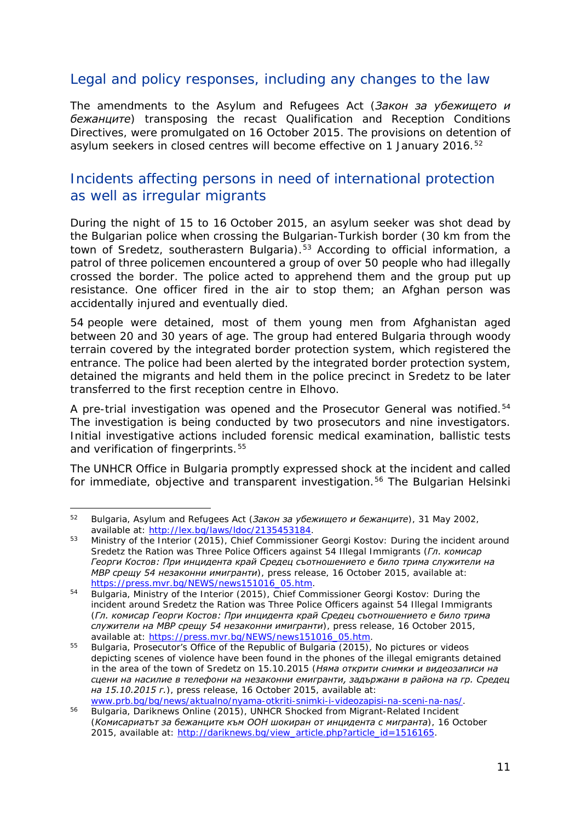## <span id="page-10-3"></span>Legal and policy responses, including any changes to the law

The amendments to the Asylum and Refugees Act (*Закон за убежището и бежанците*) transposing the recast Qualification and Reception Conditions Directives, were promulgated on 16 October 2015. The provisions on detention of asylum seekers in closed centres will become effective on 1 January 2016.<sup>[52](#page-10-0)</sup>

## Incidents affecting persons in need of international protection as well as irregular migrants

During the night of 15 to 16 October 2015, an asylum seeker was shot dead by the Bulgarian police when crossing the Bulgarian-Turkish border (30 km from the town of Sredetz, southerastern Bulgaria).<sup>[53](#page-10-1)</sup> According to official information, a patrol of three policemen encountered a group of over 50 people who had illegally crossed the border. The police acted to apprehend them and the group put up resistance. One officer fired in the air to stop them; an Afghan person was accidentally injured and eventually died.

54 people were detained, most of them young men from Afghanistan aged between 20 and 30 years of age. The group had entered Bulgaria through woody terrain covered by the integrated border protection system, which registered the entrance. The police had been alerted by the integrated border protection system, detained the migrants and held them in the police precinct in Sredetz to be later transferred to the first reception centre in Elhovo.

A pre-trial investigation was opened and the Prosecutor General was notified.<sup>[54](#page-10-2)</sup> The investigation is being conducted by two prosecutors and nine investigators. Initial investigative actions included forensic medical examination, ballistic tests and verification of fingerprints.<sup>[55](#page-10-3)</sup>

The UNHCR Office in Bulgaria promptly expressed shock at the incident and called for immediate, objective and transparent investigation.<sup>[56](#page-10-4)</sup> The Bulgarian Helsinki

<span id="page-10-0"></span><sup>52</sup> Bulgaria, Asylum and Refugees Act (*Закон за убежището и бежанците*), 31 May 2002, available at: [http://lex.bg/laws/ldoc/2135453184.](http://lex.bg/laws/ldoc/2135453184) 52

<span id="page-10-1"></span><sup>&</sup>lt;sup>53</sup> Ministry of the Interior (2015), Chief Commissioner Georgi Kostov: During the incident around Sredetz the Ration was Three Police Officers against 54 Illegal Immigrants (*Гл. комисар Георги Костов: При инцидента край Средец съотношението е било трима служители на МВР срещу 54 незаконни имигранти*), press release, 16 October 2015, available at: [https://press.mvr.bg/NEWS/news151016\\_05.htm.](https://press.mvr.bg/NEWS/news151016_05.htm)

<span id="page-10-2"></span><sup>54</sup> Bulgaria, Ministry of the Interior (2015), Chief Commissioner Georgi Kostov: During the incident around Sredetz the Ration was Three Police Officers against 54 Illegal Immigrants (*Гл. комисар Георги Костов: При инцидента край Средец съотношението е било трима служители на МВР срещу 54 незаконни имигранти*), press release, 16 October 2015, available at: [https://press.mvr.bg/NEWS/news151016\\_05.htm.](https://press.mvr.bg/NEWS/news151016_05.htm)

<sup>55</sup> Bulgaria, Prosecutor's Office of the Republic of Bulgaria (2015), No pictures or videos depicting scenes of violence have been found in the phones of the illegal emigrants detained in the area of the town of Sredetz on 15.10.2015 (*Няма открити снимки и видеозаписи на сцени на насилие в телефони на незаконни емигранти, задържани в района на гр. Средец на 15.10.2015 г.*), press release, 16 October 2015, available at:

<span id="page-10-4"></span>[www.prb.bg/bg/news/aktualno/nyama-otkriti-snimki-i-videozapisi-na-sceni-na-nas/.](http://www.prb.bg/bg/news/aktualno/nyama-otkriti-snimki-i-videozapisi-na-sceni-na-nas/) <sup>56</sup> Bulgaria, Dariknews Online (2015), UNHCR Shocked from Migrant-Related Incident (*Комисариатът за бежанците към ООН шокиран от инцидента с мигранта*)*,* 16 October 2015, available at: [http://dariknews.bg/view\\_article.php?article\\_id=1516165.](http://dariknews.bg/view_article.php?article_id=1516165)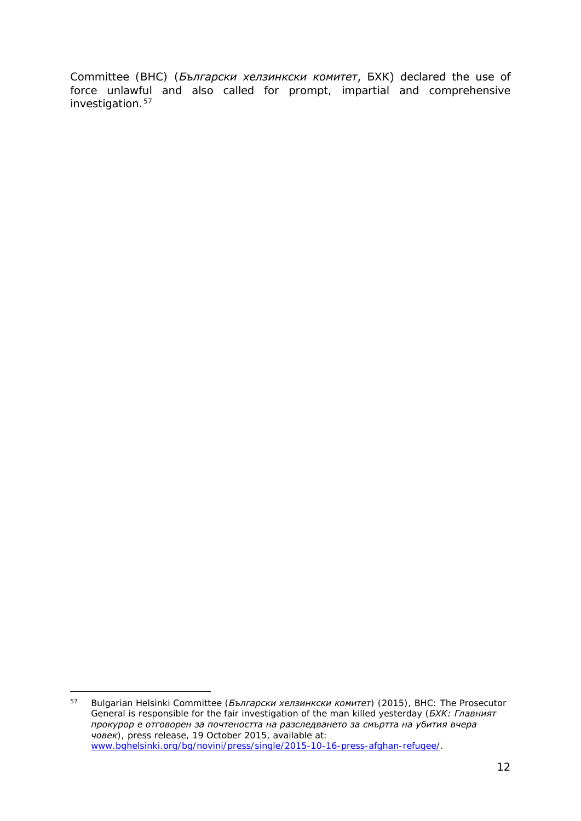Committee (BHC) (*Български хелзинкски комитет*, БХК) declared the use of force unlawful and also called for prompt, impartial and comprehensive investigation.<sup>[57](#page-11-0)</sup>

<span id="page-11-0"></span><sup>57</sup> Bulgarian Helsinki Committee (*Български хелзинкски комитет*) (2015), BHC: The Prosecutor General is responsible for the fair investigation of the man killed yesterday (*БХК: Главният прокурор е отговорен за почтеността на разследването за смъртта на убития вчера човек*), press release, 19 October 2015, available at: [www.bghelsinki.org/bg/novini/press/single/2015-10-16-press-afghan-refugee/.](http://www.bghelsinki.org/bg/novini/press/single/2015-10-16-press-afghan-refugee/) 57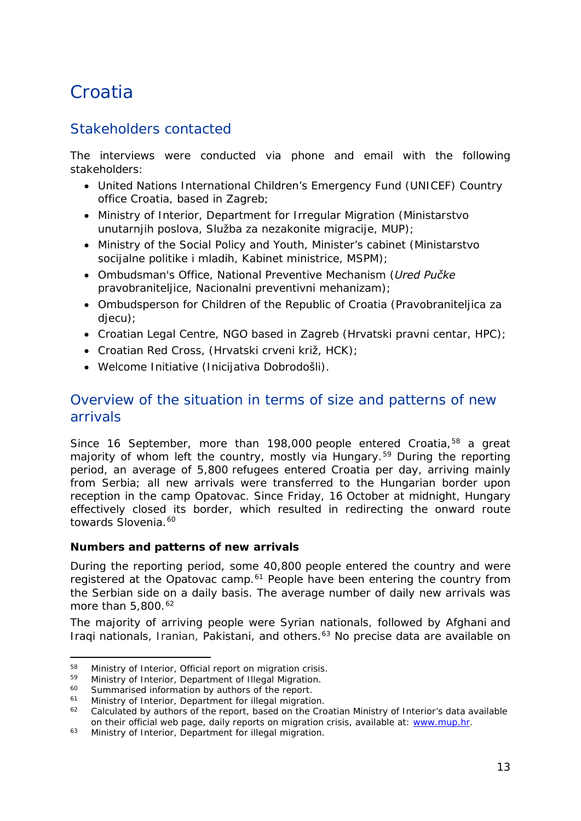## <span id="page-12-0"></span>Croatia

## Stakeholders contacted

The interviews were conducted via phone and email with the following stakeholders:

- United Nations International Children's Emergency Fund (UNICEF) Country office Croatia, based in Zagreb;
- Ministry of Interior, Department for Irregular Migration (*Ministarstvo unutarnjih poslova, Služba za nezakonite migracije*, *MUP*);
- Ministry of the Social Policy and Youth, Minister's cabinet (*Ministarstvo socijalne politike i mladih, Kabinet ministrice, MSPM*);
- Ombudsman's Office, National Preventive Mechanism (*Ured Pučke pravobraniteljice, Nacionalni preventivni mehanizam*);
- Ombudsperson for Children of the Republic of Croatia (*Pravobraniteljica za djecu*);
- Croatian Legal Centre, NGO based in Zagreb (*Hrvatski pravni centar, HPC*);
- Croatian Red Cross, (*Hrvatski crveni križ, HCK*);
- Welcome Initiative (*Inicijativa Dobrodošli*).

## Overview of the situation in terms of size and patterns of new arrivals

Since 16 September, more than 198,000 people entered Croatia,<sup>[58](#page-12-1)</sup> a great majority of whom left the country, mostly via Hungary.<sup>[59](#page-12-2)</sup> During the reporting period, an average of 5,800 refugees entered Croatia per day, arriving mainly from Serbia; all new arrivals were transferred to the Hungarian border upon reception in the camp Opatovac. Since Friday, 16 October at midnight, Hungary effectively closed its border, which resulted in redirecting the onward route towards Slovenia.<sup>[60](#page-12-3)</sup>

#### **Numbers and patterns of new arrivals**

During the reporting period, some 40,800 people entered the country and were registered at the Opatovac camp.<sup>[61](#page-12-4)</sup> People have been entering the country from the Serbian side on a daily basis. The average number of daily new arrivals was more than 5,800.<sup>[62](#page-12-5)</sup>

The majority of arriving people were Syrian nationals, followed by Afghani and Iragi nationals, Iranian, Pakistani, and others.<sup>[63](#page-12-6)</sup> No precise data are available on

<span id="page-12-1"></span><sup>58</sup> Ministry of Interior, Official report on migration crisis.<br>59 Ministry of Interior, Department of Illegal Migration.<br>60 Symmerical information by outbors of the report. 58

<span id="page-12-3"></span><span id="page-12-2"></span><sup>&</sup>lt;sup>60</sup> Summarised information by authors of the report.<br><sup>61</sup> Ministry of Interior, Department for illegal migratic

<span id="page-12-5"></span><span id="page-12-4"></span><sup>&</sup>lt;sup>61</sup> Ministry of Interior, Department for illegal migration.<br> $\frac{62}{2}$  Colculated by authors of the copert, based on the Cro

<sup>62</sup> Calculated by authors of the report, based on the Croatian Ministry of Interior's data available on their official web page, daily reports on migration crisis, available at: [www.mup.hr.](http://www.mup.hr/)

<span id="page-12-6"></span><sup>&</sup>lt;sup>63</sup> Ministry of Interior, Department for illegal migration.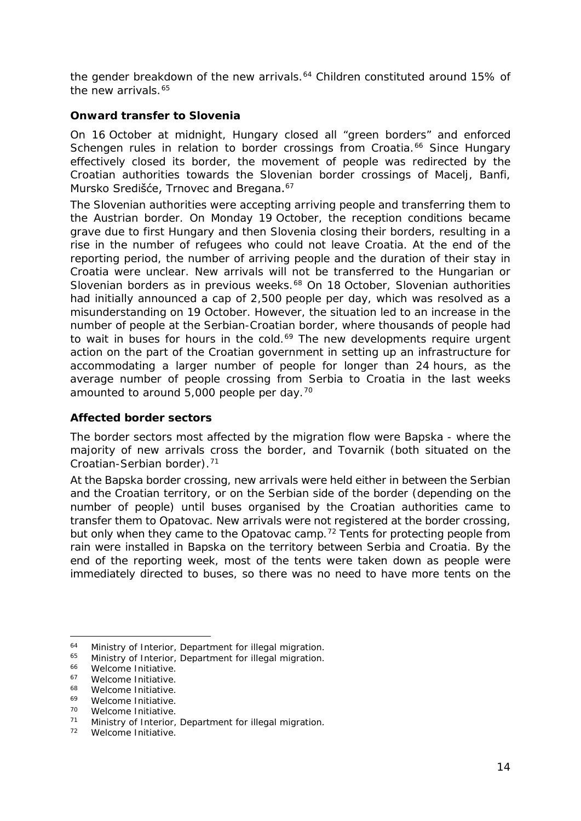<span id="page-13-3"></span>the gender breakdown of the new arrivals.<sup>[64](#page-13-0)</sup> Children constituted around 15% of the new arrivals.<sup>[65](#page-13-1)</sup>

#### **Onward transfer to Slovenia**

On 16 October at midnight, Hungary closed all "green borders" and enforced Schengen rules in relation to border crossings from Croatia.<sup>[66](#page-13-2)</sup> Since Hungary effectively closed its border, the movement of people was redirected by the Croatian authorities towards the Slovenian border crossings of Macelj, Banfi, Mursko Središće, Trnovec and Bregana.<sup>[67](#page-13-3)</sup>

The Slovenian authorities were accepting arriving people and transferring them to the Austrian border. On Monday 19 October, the reception conditions became grave due to first Hungary and then Slovenia closing their borders, resulting in a rise in the number of refugees who could not leave Croatia. At the end of the reporting period, the number of arriving people and the duration of their stay in Croatia were unclear. New arrivals will not be transferred to the Hungarian or Slovenian borders as in previous weeks.<sup>[68](#page-13-4)</sup> On 18 October, Slovenian authorities had initially announced a cap of 2,500 people per day, which was resolved as a misunderstanding on 19 October. However, the situation led to an increase in the number of people at the Serbian-Croatian border, where thousands of people had to wait in buses for hours in the cold.<sup>[69](#page-13-3)</sup> The new developments require urgent action on the part of the Croatian government in setting up an infrastructure for accommodating a larger number of people for longer than 24 hours, as the average number of people crossing from Serbia to Croatia in the last weeks amounted to around  $5,000$  people per day.<sup>[70](#page-13-3)</sup>

#### **Affected border sectors**

The border sectors most affected by the migration flow were Bapska - where the majority of new arrivals cross the border, and Tovarnik (both situated on the Croatian-Serbian border).[71](#page-13-5)

At the Bapska border crossing, new arrivals were held either in between the Serbian and the Croatian territory, or on the Serbian side of the border (depending on the number of people) until buses organised by the Croatian authorities came to transfer them to Opatovac. New arrivals were not registered at the border crossing, but only when they came to the Opatovac camp.<sup>[72](#page-13-6)</sup> Tents for protecting people from rain were installed in Bapska on the territory between Serbia and Croatia. By the end of the reporting week, most of the tents were taken down as people were immediately directed to buses, so there was no need to have more tents on the

<span id="page-13-0"></span><sup>&</sup>lt;sup>64</sup> Ministry of Interior, Department for illegal migration.<br><sup>65</sup> Ministry of Interior, Department for illegal migration 64

<span id="page-13-1"></span><sup>&</sup>lt;sup>65</sup> Ministry of Interior, Department for illegal migration.<br><sup>66</sup> Melcome Initiative

<span id="page-13-2"></span> $^{66}$  Welcome Initiative.

 $^{67}$  Welcome Initiative.

<span id="page-13-4"></span> $^{68}$  Welcome Initiative.

 $^{69}$  Welcome Initiative.

Welcome Initiative.

<span id="page-13-5"></span><sup>71</sup> Ministry of Interior, Department for illegal migration.

<span id="page-13-6"></span><sup>72</sup> Welcome Initiative.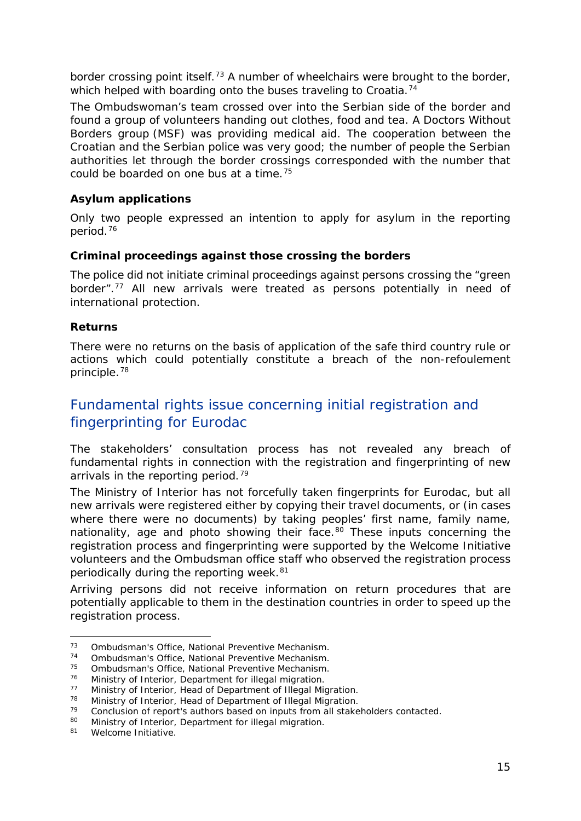<span id="page-14-8"></span>border crossing point itself.<sup>[73](#page-14-0)</sup> A number of wheelchairs were brought to the border, which helped with boarding onto the buses traveling to Croatia.<sup>[74](#page-14-1)</sup>

The Ombudswoman's team crossed over into the Serbian side of the border and found a group of volunteers handing out clothes, food and tea. A Doctors Without Borders group (MSF) was providing medical aid. The cooperation between the Croatian and the Serbian police was very good; the number of people the Serbian authorities let through the border crossings corresponded with the number that could be boarded on one bus at a time.[75](#page-14-2)

#### **Asylum applications**

Only two people expressed an intention to apply for asylum in the reporting period.[76](#page-14-3)

#### **Criminal proceedings against those crossing the borders**

The police did not initiate criminal proceedings against persons crossing the "green border".[77](#page-14-4) All new arrivals were treated as persons potentially in need of international protection.

#### **Returns**

There were no returns on the basis of application of the safe third country rule or actions which could potentially constitute a breach of the *non-refoulement*  principle.[78](#page-14-5)

## Fundamental rights issue concerning initial registration and fingerprinting for Eurodac

The stakeholders' consultation process has not revealed any breach of fundamental rights in connection with the registration and fingerprinting of new arrivals in the reporting period.<sup>[79](#page-14-6)</sup>

The Ministry of Interior has not forcefully taken fingerprints for Eurodac, but all new arrivals were registered either by copying their travel documents, or (in cases where there were no documents) by taking peoples' first name, family name, nationality, age and photo showing their face.<sup>[80](#page-14-7)</sup> These inputs concerning the registration process and fingerprinting were supported by the Welcome Initiative volunteers and the Ombudsman office staff who observed the registration process periodically during the reporting week.<sup>[81](#page-14-8)</sup>

Arriving persons did not receive information on return procedures that are potentially applicable to them in the destination countries in order to speed up the registration process.

<span id="page-14-0"></span><sup>&</sup>lt;sup>73</sup> Ombudsman's Office, National Preventive Mechanism.<br><sup>74</sup> Ombudsman's Office, National Preventive Mechanism 73

<span id="page-14-1"></span><sup>74</sup> Ombudsman's Office, National Preventive Mechanism.

<span id="page-14-2"></span> $^{75}$  Ombudsman's Office, National Preventive Mechanism.<br> $^{76}$  Ministry of Interior, Department for illegal migration

<span id="page-14-3"></span><sup>76</sup> Ministry of Interior, Department for illegal migration.

<span id="page-14-4"></span><sup>&</sup>lt;sup>77</sup> Ministry of Interior, Head of Department of Illegal Migration.<br><sup>78</sup> Ministry of Interior, Head of Department of Illegal Migration.

<span id="page-14-5"></span><sup>&</sup>lt;sup>78</sup> Ministry of Interior, Head of Department of Illegal Migration.<br><sup>79</sup> Conclusion of report's authors based on inputs from all stake

<span id="page-14-6"></span><sup>79</sup> Conclusion of report's authors based on inputs from all stakeholders contacted.<br>80 Ministry of Interior, Department for illegal migration

Ministry of Interior, Department for illegal migration.

<span id="page-14-7"></span><sup>81</sup> Welcome Initiative.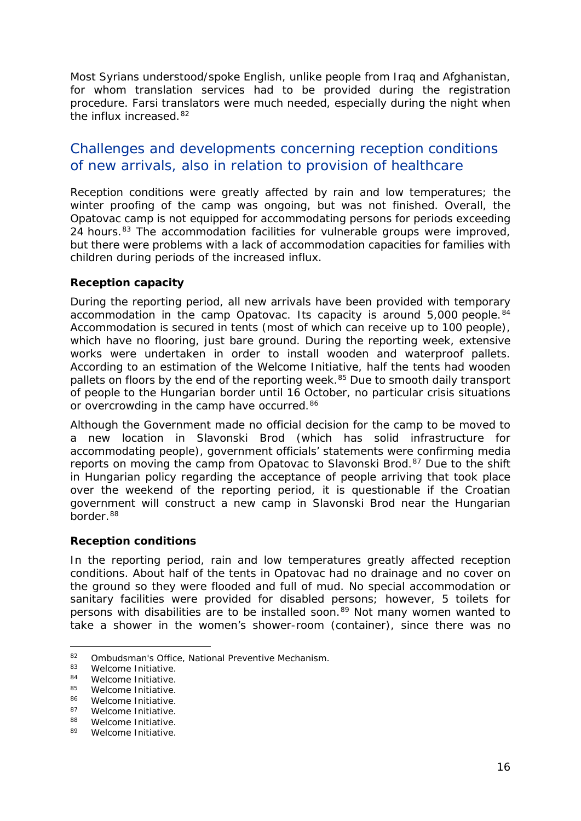<span id="page-15-3"></span>Most Syrians understood/spoke English, unlike people from Iraq and Afghanistan, for whom translation services had to be provided during the registration procedure. Farsi translators were much needed, especially during the night when the influx increased.[82](#page-15-0)

### Challenges and developments concerning reception conditions of new arrivals, also in relation to provision of healthcare

Reception conditions were greatly affected by rain and low temperatures; the winter proofing of the camp was ongoing, but was not finished. Overall, the Opatovac camp is not equipped for accommodating persons for periods exceeding 24 hours.<sup>[83](#page-15-1)</sup> The accommodation facilities for vulnerable groups were improved, but there were problems with a lack of accommodation capacities for families with children during periods of the increased influx.

#### **Reception capacity**

During the reporting period, all new arrivals have been provided with temporary accommodation in the camp Opatovac. Its capacity is around  $5,000$  people.<sup>[84](#page-15-2)</sup> Accommodation is secured in tents (most of which can receive up to 100 people), which have no flooring, just bare ground. During the reporting week, extensive works were undertaken in order to install wooden and waterproof pallets. According to an estimation of the Welcome Initiative, half the tents had wooden pallets on floors by the end of the reporting week.<sup>[85](#page-15-3)</sup> Due to smooth daily transport of people to the Hungarian border until 16 October, no particular crisis situations or overcrowding in the camp have occurred.<sup>[86](#page-15-3)</sup>

Although the Government made no official decision for the camp to be moved to a new location in Slavonski Brod (which has solid infrastructure for accommodating people), government officials' statements were confirming media reports on moving the camp from Opatovac to Slavonski Brod.<sup>[87](#page-15-4)</sup> Due to the shift in Hungarian policy regarding the acceptance of people arriving that took place over the weekend of the reporting period, it is questionable if the Croatian government will construct a new camp in Slavonski Brod near the Hungarian border.[88](#page-15-3)

#### **Reception conditions**

In the reporting period, rain and low temperatures greatly affected reception conditions. About half of the tents in Opatovac had no drainage and no cover on the ground so they were flooded and full of mud. No special accommodation or sanitary facilities were provided for disabled persons; however, 5 toilets for persons with disabilities are to be installed soon.<sup>[89](#page-15-5)</sup> Not many women wanted to take a shower in the women's shower-room (container), since there was no

<span id="page-15-0"></span><sup>82</sup> Ombudsman's Office, National Preventive Mechanism.<br> $^{83}$  Melsome Initiative

<span id="page-15-1"></span> $83$  Welcome Initiative.<br> $84$  Welcome Initiative

<span id="page-15-2"></span> $84$  Welcome Initiative.

 $85$  Welcome Initiative.

<sup>86</sup> Welcome Initiative.

<span id="page-15-4"></span> $87$  Welcome Initiative.

Welcome Initiative.

<span id="page-15-5"></span><sup>89</sup> Welcome Initiative.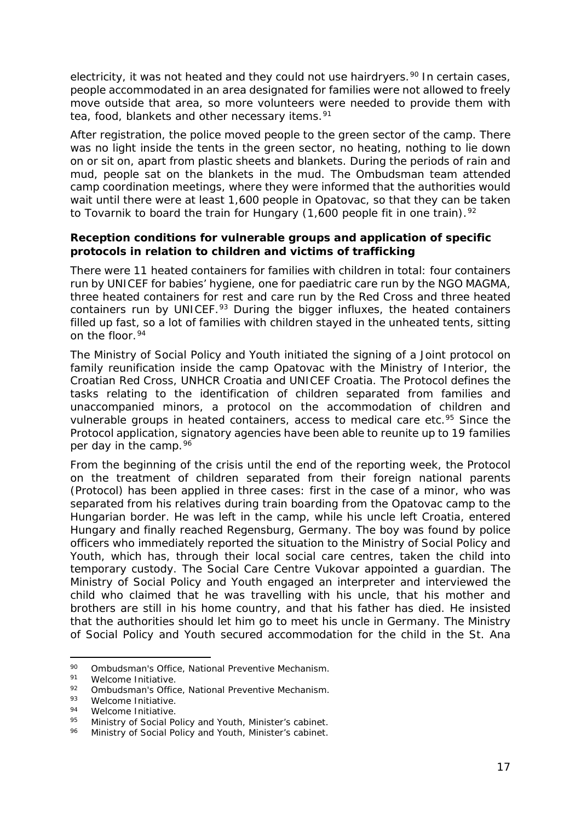<span id="page-16-4"></span>electricity, it was not heated and they could not use hairdryers.<sup>[90](#page-16-0)</sup> In certain cases, people accommodated in an area designated for families were not allowed to freely move outside that area, so more volunteers were needed to provide them with tea, food, blankets and other necessary items.<sup>[91](#page-16-1)</sup>

After registration, the police moved people to the green sector of the camp. There was no light inside the tents in the green sector, no heating, nothing to lie down on or sit on, apart from plastic sheets and blankets. During the periods of rain and mud, people sat on the blankets in the mud. The Ombudsman team attended camp coordination meetings, where they were informed that the authorities would wait until there were at least 1,600 people in Opatovac, so that they can be taken to Tovarnik to board the train for Hungary  $(1,600$  people fit in one train).<sup>[92](#page-16-2)</sup>

#### **Reception conditions for vulnerable groups and application of specific protocols in relation to children and victims of trafficking**

There were 11 heated containers for families with children in total: four containers run by UNICEF for babies' hygiene, one for paediatric care run by the NGO MAGMA, three heated containers for rest and care run by the Red Cross and three heated containers run by UNICEF.<sup>[93](#page-16-3)</sup> During the bigger influxes, the heated containers filled up fast, so a lot of families with children stayed in the unheated tents, sitting on the floor.<sup>[94](#page-16-4)</sup>

The Ministry of Social Policy and Youth initiated the signing of a *Joint protocol on family reunification inside the camp Opatovac* with the Ministry of Interior, the Croatian Red Cross, UNHCR Croatia and UNICEF Croatia. The Protocol defines the tasks relating to the identification of children separated from families and unaccompanied minors, a protocol on the accommodation of children and vulnerable groups in heated containers, access to medical care etc.<sup>[95](#page-16-5)</sup> Since the Protocol application, signatory agencies have been able to reunite up to 19 families per day in the camp. [96](#page-16-4)

From the beginning of the crisis until the end of the reporting week, the *Protocol on the treatment of children separated from their foreign national parents (Protocol)* has been applied in three cases: first in the case of a minor, who was separated from his relatives during train boarding from the Opatovac camp to the Hungarian border. He was left in the camp, while his uncle left Croatia, entered Hungary and finally reached Regensburg, Germany. The boy was found by police officers who immediately reported the situation to the Ministry of Social Policy and Youth, which has, through their local social care centres, taken the child into temporary custody. The Social Care Centre Vukovar appointed a guardian. The Ministry of Social Policy and Youth engaged an interpreter and interviewed the child who claimed that he was travelling with his uncle, that his mother and brothers are still in his home country, and that his father has died. He insisted that the authorities should let him go to meet his uncle in Germany. The Ministry of Social Policy and Youth secured accommodation for the child in the St. Ana

<span id="page-16-0"></span><sup>90</sup> Ombudsman's Office, National Preventive Mechanism.<br>91 Melcome Initiative 90

<span id="page-16-1"></span> $^{91}$  Welcome Initiative.

<span id="page-16-2"></span><sup>92</sup> Ombudsman's Office, National Preventive Mechanism.<br>93 Melseme Initiative

<span id="page-16-3"></span> $^{93}$  Welcome Initiative.

 $^{94}$  Welcome Initiative.

<span id="page-16-5"></span><sup>95</sup> Ministry of Social Policy and Youth, Minister's cabinet.<br>96 Ministry of Social Policy and Youth, Minister's cabinet

Ministry of Social Policy and Youth, Minister's cabinet.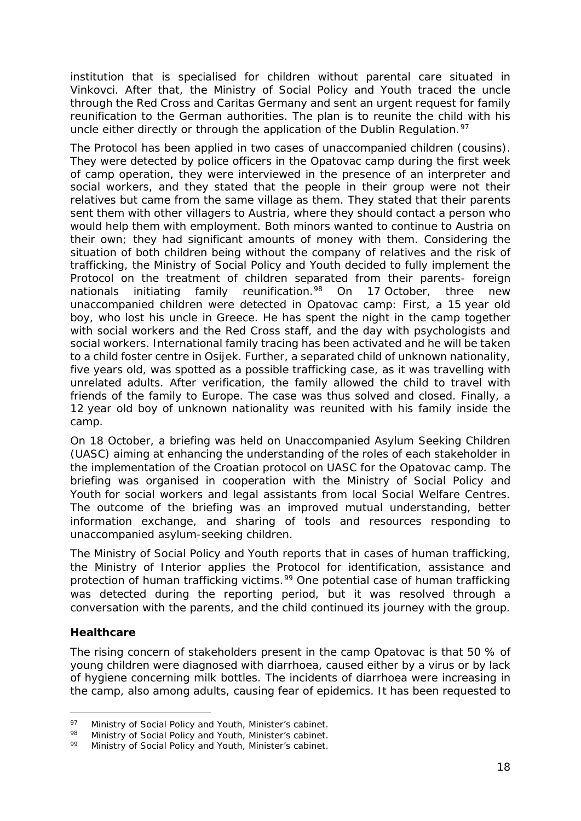institution that is specialised for children without parental care situated in Vinkovci. After that, the Ministry of Social Policy and Youth traced the uncle through the Red Cross and Caritas Germany and sent an urgent request for family reunification to the German authorities. The plan is to reunite the child with his uncle either directly or through the application of the Dublin Regulation.<sup>[97](#page-17-0)</sup>

The *Protocol* has been applied in two cases of unaccompanied children (cousins). They were detected by police officers in the Opatovac camp during the first week of camp operation, they were interviewed in the presence of an interpreter and social workers, and they stated that the people in their group were not their relatives but came from the same village as them. They stated that their parents sent them with other villagers to Austria, where they should contact a person who would help them with employment. Both minors wanted to continue to Austria on their own; they had significant amounts of money with them. Considering the situation of both children being without the company of relatives and the risk of trafficking, the Ministry of Social Policy and Youth decided to fully implement the *Protocol on the treatment of children separated from their parents- foreign nationals* initiating family reunification*.*[98](#page-17-1) On 17 October, three new unaccompanied children were detected in Opatovac camp: First, a 15 year old boy, who lost his uncle in Greece. He has spent the night in the camp together with social workers and the Red Cross staff, and the day with psychologists and social workers. International family tracing has been activated and he will be taken to a child foster centre in Osijek. Further, a separated child of unknown nationality, five years old, was spotted as a possible trafficking case, as it was travelling with unrelated adults. After verification, the family allowed the child to travel with friends of the family to Europe. The case was thus solved and closed. Finally, a 12 year old boy of unknown nationality was reunited with his family inside the camp.

On 18 October, a briefing was held on Unaccompanied Asylum Seeking Children (UASC) aiming at enhancing the understanding of the roles of each stakeholder in the implementation of the Croatian protocol on UASC for the Opatovac camp. The briefing was organised in cooperation with the Ministry of Social Policy and Youth for social workers and legal assistants from local Social Welfare Centres. The outcome of the briefing was an improved mutual understanding, better information exchange, and sharing of tools and resources responding to unaccompanied asylum-seeking children.

The Ministry of Social Policy and Youth reports that in cases of human trafficking, the Ministry of Interior applies the Protocol for identification, assistance and protection of human trafficking victims.<sup>[99](#page-17-2)</sup> One potential case of human trafficking was detected during the reporting period, but it was resolved through a conversation with the parents, and the child continued its journey with the group.

#### **Healthcare**

The rising concern of stakeholders present in the camp Opatovac is that 50 % of young children were diagnosed with diarrhoea, caused either by a virus or by lack of hygiene concerning milk bottles. The incidents of diarrhoea were increasing in the camp, also among adults, causing fear of epidemics. It has been requested to

<span id="page-17-0"></span><sup>97</sup> Ministry of Social Policy and Youth, Minister's cabinet.<br>98 Ministry of Social Policy and Youth, Minister's sobinet 97

<span id="page-17-1"></span>Ministry of Social Policy and Youth, Minister's cabinet.

<span id="page-17-2"></span>Ministry of Social Policy and Youth, Minister's cabinet.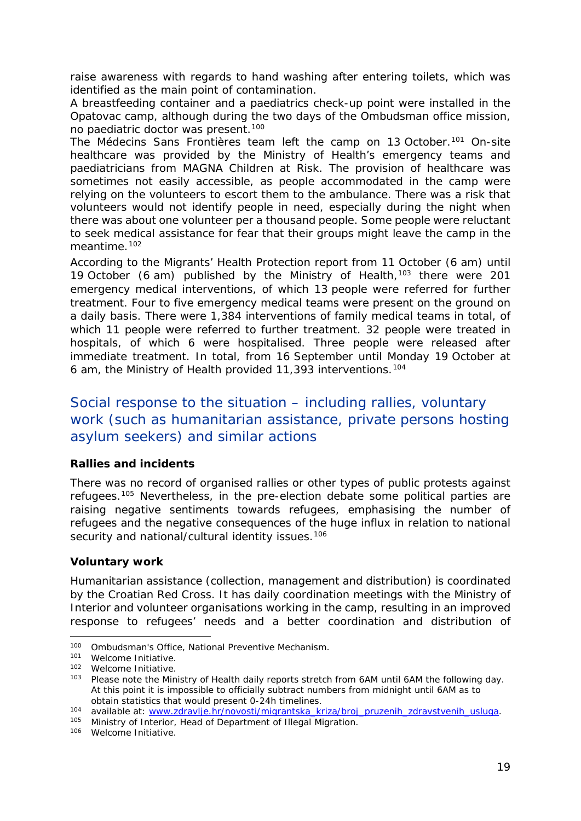<span id="page-18-2"></span>raise awareness with regards to hand washing after entering toilets, which was identified as the main point of contamination.

A breastfeeding container and a paediatrics check-up point were installed in the Opatovac camp, although during the two days of the Ombudsman office mission, no paediatric doctor was present.[100](#page-18-0)

The Médecins Sans Frontières team left the camp on 13 October.<sup>[101](#page-18-1)</sup> On-site healthcare was provided by the Ministry of Health's emergency teams and paediatricians from MAGNA Children at Risk. The provision of healthcare was sometimes not easily accessible, as people accommodated in the camp were relying on the volunteers to escort them to the ambulance. There was a risk that volunteers would not identify people in need, especially during the night when there was about one volunteer per a thousand people. Some people were reluctant to seek medical assistance for fear that their groups might leave the camp in the meantime.<sup>[102](#page-18-2)</sup>

According to the Migrants' Health Protection report from 11 October (6 am) until 19 October (6 am) published by the Ministry of Health,<sup>[103](#page-18-3)</sup> there were 201 emergency medical interventions, of which 13 people were referred for further treatment. Four to five emergency medical teams were present on the ground on a daily basis. There were 1,384 interventions of family medical teams in total, of which 11 people were referred to further treatment. 32 people were treated in hospitals, of which 6 were hospitalised. Three people were released after immediate treatment. In total, from 16 September until Monday 19 October at 6 am, the Ministry of Health provided 11,393 interventions.[104](#page-18-2)

## Social response to the situation – including rallies, voluntary work (such as humanitarian assistance, private persons hosting asylum seekers) and similar actions

#### **Rallies and incidents**

There was no record of organised rallies or other types of public protests against refugees.[105](#page-18-4) Nevertheless, in the pre-election debate some political parties are raising negative sentiments towards refugees, emphasising the number of refugees and the negative consequences of the huge influx in relation to national security and national/cultural identity issues.<sup>[106](#page-18-2)</sup>

#### **Voluntary work**

Humanitarian assistance (collection, management and distribution) is coordinated by the Croatian Red Cross. It has daily coordination meetings with the Ministry of Interior and volunteer organisations working in the camp, resulting in an improved response to refugees' needs and a better coordination and distribution of

-

<span id="page-18-4"></span>105 Ministry of Interior, Head of Department of Illegal Migration.

<sup>100</sup> Ombudsman's Office, National Preventive Mechanism.

<span id="page-18-1"></span><span id="page-18-0"></span><sup>&</sup>lt;sup>101</sup> Welcome Initiative.

<span id="page-18-3"></span> $102$  Welcome Initiative.<br> $103$  Please note the Min

Please note the Ministry of Health daily reports stretch from 6AM until 6AM the following day. At this point it is impossible to officially subtract numbers from midnight until 6AM as to obtain statistics that would present 0-24h timelines.

<sup>104</sup> available at: [www.zdravlje.hr/novosti/migrantska\\_kriza/broj\\_pruzenih\\_zdravstvenih\\_usluga.](http://www.zdravlje.hr/novosti/migrantska_kriza/broj_pruzenih_zdravstvenih_usluga)

<sup>106</sup> Welcome Initiative.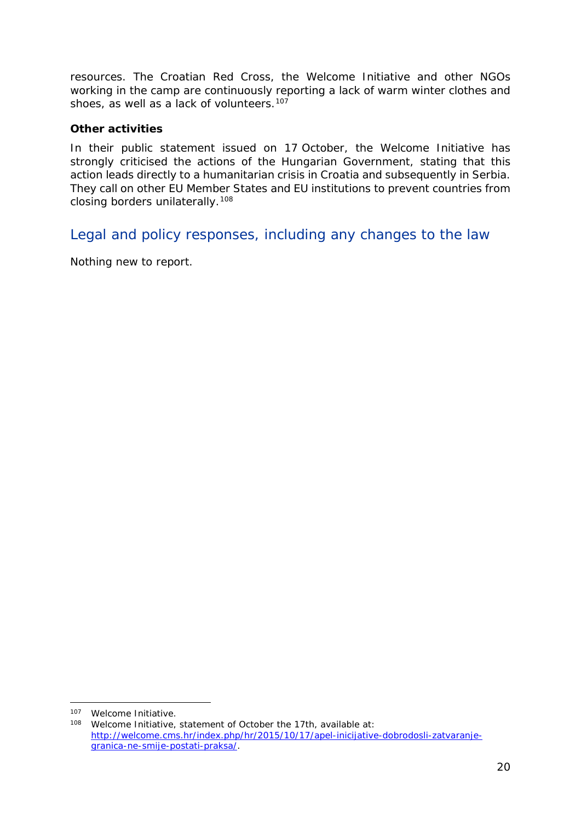resources. The Croatian Red Cross, the Welcome Initiative and other NGOs working in the camp are continuously reporting a lack of warm winter clothes and shoes, as well as a lack of volunteers.<sup>107</sup>

#### **Other activities**

In their public statement issued on 17 October, the Welcome Initiative has strongly criticised the actions of the Hungarian Government, stating that this action leads directly to a humanitarian crisis in Croatia and subsequently in Serbia. They call on other EU Member States and EU institutions to prevent countries from closing borders unilaterally.[108](#page-19-1)

Legal and policy responses, including any changes to the law

Nothing new to report.

<sup>107</sup> Welcome Initiative. -

<span id="page-19-1"></span><span id="page-19-0"></span><sup>108</sup> Welcome Initiative, statement of October the 17th, available at: [http://welcome.cms.hr/index.php/hr/2015/10/17/apel-inicijative-dobrodosli-zatvaranje](http://welcome.cms.hr/index.php/hr/2015/10/17/apel-inicijative-dobrodosli-zatvaranje-granica-ne-smije-postati-praksa/)[granica-ne-smije-postati-praksa/.](http://welcome.cms.hr/index.php/hr/2015/10/17/apel-inicijative-dobrodosli-zatvaranje-granica-ne-smije-postati-praksa/)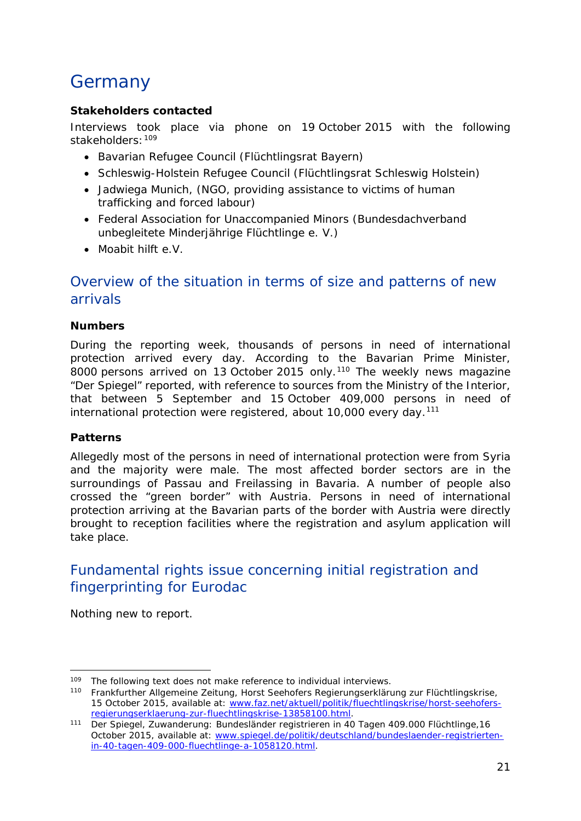## <span id="page-20-3"></span><span id="page-20-0"></span>Germany

#### **Stakeholders contacted**

Interviews took place via phone on 19 October 2015 with the following stakeholders: [109](#page-20-1)

- Bavarian Refugee Council (*Flüchtlingsrat Bayern*)
- Schleswig-Holstein Refugee Council (*Flüchtlingsrat Schleswig Holstein*)
- Jadwiega Munich, (NGO, providing assistance to victims of human trafficking and forced labour)
- Federal Association for Unaccompanied Minors (*Bundesdachverband unbegleitete Minderjährige Flüchtlinge e. V*.)
- Moabit hilft e.V.

## Overview of the situation in terms of size and patterns of new arrivals

#### **Numbers**

During the reporting week, thousands of persons in need of international protection arrived every day. According to the Bavarian Prime Minister, 8000 persons arrived on 13 October 2015 only.<sup>[110](#page-20-2)</sup> The weekly news magazine "Der Spiegel" reported, with reference to sources from the Ministry of the Interior, that between 5 September and 15 October 409,000 persons in need of international protection were registered, about  $10,000$  every day.<sup>[111](#page-20-3)</sup>

#### **Patterns**

-

Allegedly most of the persons in need of international protection were from Syria and the majority were male. The most affected border sectors are in the surroundings of Passau and Freilassing in Bavaria. A number of people also crossed the "green border" with Austria. Persons in need of international protection arriving at the Bavarian parts of the border with Austria were directly brought to reception facilities where the registration and asylum application will take place.

## Fundamental rights issue concerning initial registration and fingerprinting for Eurodac

Nothing new to report.

<sup>&</sup>lt;sup>109</sup> The following text does not make reference to individual interviews.

<span id="page-20-2"></span><span id="page-20-1"></span><sup>110</sup> Frankfurther Allgemeine Zeitung, *Horst Seehofers Regierungserklärung zur Flüchtlingskrise,*  15 October 2015, available at: [www.faz.net/aktuell/politik/fluechtlingskrise/horst-seehofers](http://www.faz.net/aktuell/politik/fluechtlingskrise/horst-seehofers-regierungserklaerung-zur-fluechtlingskrise-13858100.html)[regierungserklaerung-zur-fluechtlingskrise-13858100.html.](http://www.faz.net/aktuell/politik/fluechtlingskrise/horst-seehofers-regierungserklaerung-zur-fluechtlingskrise-13858100.html)

<sup>111</sup> Der Spiegel, *Zuwanderung: Bundesländer registrieren in 40 Tagen 409.000 Flüchtlinge,*16 October 2015, available at: [www.spiegel.de/politik/deutschland/bundeslaender-registrierten](http://www.spiegel.de/politik/deutschland/bundeslaender-registrierten-in-40-tagen-409-000-fluechtlinge-a-1058120.html)[in-40-tagen-409-000-fluechtlinge-a-1058120.html.](http://www.spiegel.de/politik/deutschland/bundeslaender-registrierten-in-40-tagen-409-000-fluechtlinge-a-1058120.html)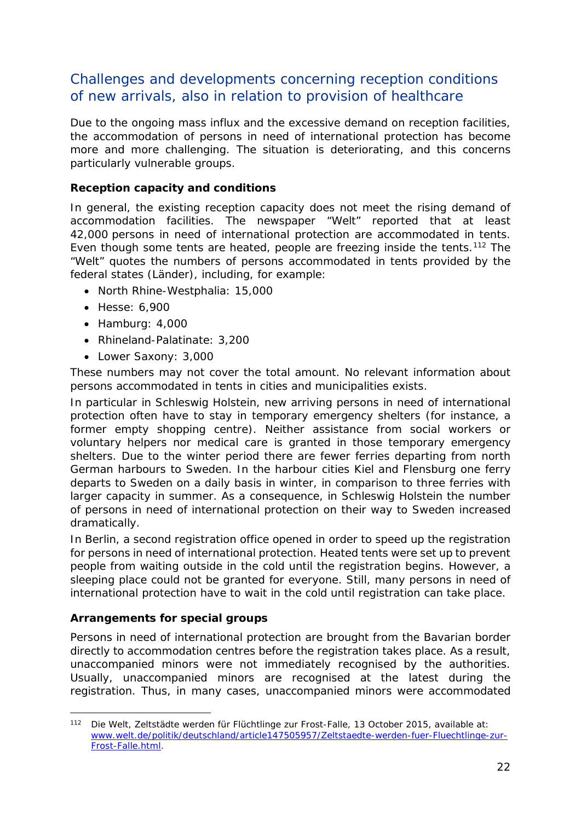## Challenges and developments concerning reception conditions of new arrivals, also in relation to provision of healthcare

Due to the ongoing mass influx and the excessive demand on reception facilities, the accommodation of persons in need of international protection has become more and more challenging. The situation is deteriorating, and this concerns particularly vulnerable groups.

#### **Reception capacity and conditions**

In general, the existing reception capacity does not meet the rising demand of accommodation facilities. The newspaper "Welt" reported that at least 42,000 persons in need of international protection are accommodated in tents. Even though some tents are heated, people are freezing inside the tents.<sup>[112](#page-21-0)</sup> The "Welt" quotes the numbers of persons accommodated in tents provided by the federal states (*Länder*), including, for example:

- North Rhine-Westphalia: 15,000
- Hesse: 6,900
- Hamburg: 4,000
- Rhineland-Palatinate: 3,200
- Lower Saxony: 3,000

These numbers may not cover the total amount. No relevant information about persons accommodated in tents in cities and municipalities exists.

In particular in Schleswig Holstein, new arriving persons in need of international protection often have to stay in temporary emergency shelters (for instance, a former empty shopping centre). Neither assistance from social workers or voluntary helpers nor medical care is granted in those temporary emergency shelters. Due to the winter period there are fewer ferries departing from north German harbours to Sweden. In the harbour cities Kiel and Flensburg one ferry departs to Sweden on a daily basis in winter, in comparison to three ferries with larger capacity in summer. As a consequence, in Schleswig Holstein the number of persons in need of international protection on their way to Sweden increased dramatically.

In Berlin, a second registration office opened in order to speed up the registration for persons in need of international protection. Heated tents were set up to prevent people from waiting outside in the cold until the registration begins. However, a sleeping place could not be granted for everyone. Still, many persons in need of international protection have to wait in the cold until registration can take place.

#### **Arrangements for special groups**

Persons in need of international protection are brought from the Bavarian border directly to accommodation centres before the registration takes place. As a result, unaccompanied minors were not immediately recognised by the authorities. Usually, unaccompanied minors are recognised at the latest during the registration. Thus, in many cases, unaccompanied minors were accommodated

<span id="page-21-0"></span><sup>112</sup> Die Welt, *Zeltstädte werden für Flüchtlinge zur Frost-Falle,* 13 October 2015, available at: [www.welt.de/politik/deutschland/article147505957/Zeltstaedte-werden-fuer-Fluechtlinge-zur-](http://www.welt.de/politik/deutschland/article147505957/Zeltstaedte-werden-fuer-Fluechtlinge-zur-Frost-Falle.html)[Frost-Falle.html.](http://www.welt.de/politik/deutschland/article147505957/Zeltstaedte-werden-fuer-Fluechtlinge-zur-Frost-Falle.html) -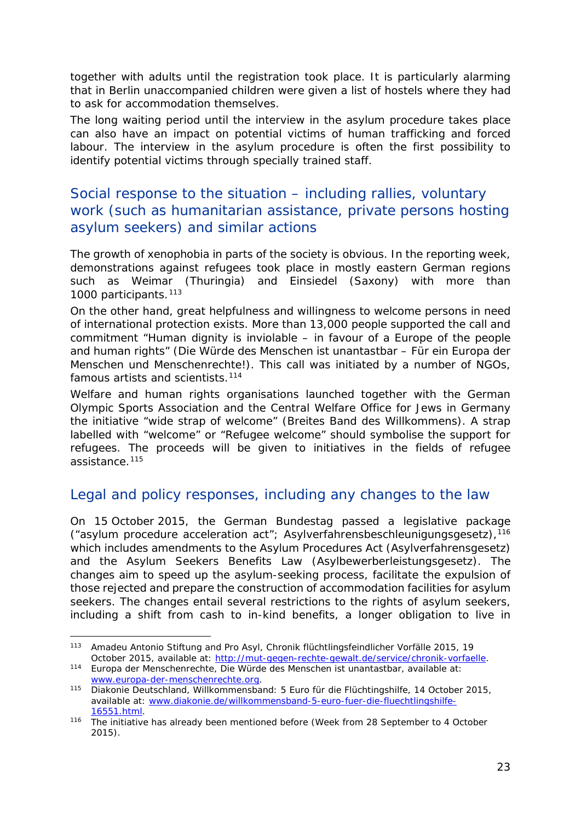together with adults until the registration took place. It is particularly alarming that in Berlin unaccompanied children were given a list of hostels where they had to ask for accommodation themselves.

The long waiting period until the interview in the asylum procedure takes place can also have an impact on potential victims of human trafficking and forced labour. The interview in the asylum procedure is often the first possibility to identify potential victims through specially trained staff.

## Social response to the situation – including rallies, voluntary work (such as humanitarian assistance, private persons hosting asylum seekers) and similar actions

The growth of xenophobia in parts of the society is obvious. In the reporting week, demonstrations against refugees took place in mostly eastern German regions such as Weimar (Thuringia) and Einsiedel (Saxony) with more than 1000 participants.<sup>[113](#page-22-0)</sup>

On the other hand, great helpfulness and willingness to welcome persons in need of international protection exists. More than 13,000 people supported the call and commitment "Human dignity is inviolable – in favour of a Europe of the people and human rights" (*Die Würde des Menschen ist unantastbar – Für ein Europa der Menschen und Menschenrechte!*). This call was initiated by a number of NGOs, famous artists and scientists.<sup>[114](#page-22-1)</sup>

Welfare and human rights organisations launched together with the German Olympic Sports Association and the Central Welfare Office for Jews in Germany the initiative "wide strap of welcome" (*Breites Band des Willkommens*). A strap labelled with "welcome" or "Refugee welcome" should symbolise the support for refugees. The proceeds will be given to initiatives in the fields of refugee assistance.[115](#page-22-2)

## Legal and policy responses, including any changes to the law

On 15 October 2015, the German Bundestag passed a legislative package ("asylum procedure acceleration act"; *Asylverfahrensbeschleunigungsgesetz*),[116](#page-22-3) which includes amendments to the Asylum Procedures Act (*Asylverfahrensgesetz*) and the Asylum Seekers Benefits Law (*Asylbewerberleistungsgesetz*). The changes aim to speed up the asylum-seeking process, facilitate the expulsion of those rejected and prepare the construction of accommodation facilities for asylum seekers. The changes entail several restrictions to the rights of asylum seekers, including a shift from cash to in-kind benefits, a longer obligation to live in

<span id="page-22-0"></span><sup>113</sup> Amadeu Antonio Stiftung and Pro Asyl, *Chronik flüchtlingsfeindlicher Vorfälle 2015*, 19 October 2015, available at: [http://mut-gegen-rechte-gewalt.de/service/chronik-vorfaelle.](http://mut-gegen-rechte-gewalt.de/service/chronik-vorfaelle) -

<span id="page-22-1"></span><sup>114</sup> Europa der Menschenrechte, *Die Würde des Menschen ist unantastbar,* available at: [www.europa-der-menschenrechte.org.](http://www.europa-der-menschenrechte.org/)

<span id="page-22-2"></span><sup>115</sup> Diakonie Deutschland, *Willkommensband: 5 Euro für die Flüchtingshilfe,* 14 October 2015, available at: [www.diakonie.de/willkommensband-5-euro-fuer-die-fluechtlingshilfe-](http://www.diakonie.de/willkommensband-5-euro-fuer-die-fluechtlingshilfe-16551.html)[16551.html.](http://www.diakonie.de/willkommensband-5-euro-fuer-die-fluechtlingshilfe-16551.html)

<span id="page-22-3"></span><sup>116</sup> The initiative has already been mentioned before (Week from 28 September to 4 October 2015).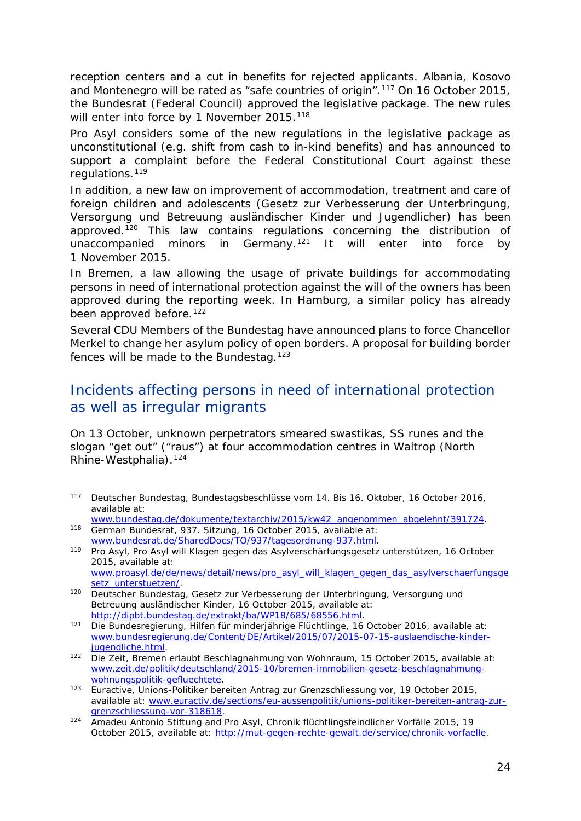<span id="page-23-4"></span>reception centers and a cut in benefits for rejected applicants. Albania, Kosovo and Montenegro will be rated as "safe countries of origin".[117](#page-23-0) On 16 October 2015, the Bundesrat (Federal Council) approved the legislative package. The new rules will enter into force by 1 November 2015.<sup>[118](#page-23-1)</sup>

Pro Asyl considers some of the new regulations in the legislative package as unconstitutional (e.g. shift from cash to in-kind benefits) and has announced to support a complaint before the Federal Constitutional Court against these regulations.[119](#page-23-2)

In addition, a new law on improvement of accommodation, treatment and care of foreign children and adolescents (*Gesetz zur Verbesserung der Unterbringung, Versorgung und Betreuung ausländischer Kinder und Jugendlicher*) has been approved.[120](#page-23-3) This law contains regulations concerning the distribution of unaccompanied minors in Germany.<sup>[121](#page-23-4)</sup> It will enter into force by 1 November 2015.

In Bremen, a law allowing the usage of private buildings for accommodating persons in need of international protection against the will of the owners has been approved during the reporting week. In Hamburg, a similar policy has already been approved before.<sup>[122](#page-23-5)</sup>

Several CDU Members of the Bundestag have announced plans to force Chancellor Merkel to change her asylum policy of open borders. A proposal for building border fences will be made to the Bundestag.<sup>[123](#page-23-6)</sup>

## Incidents affecting persons in need of international protection as well as irregular migrants

On 13 October, unknown perpetrators smeared swastikas, SS runes and the slogan "get out" ("*raus*") at four accommodation centres in Waltrop (North Rhine-Westphalia).[124](#page-23-7)

<span id="page-23-0"></span><sup>117</sup> Deutscher Bundestag, *Bundestagsbeschlüsse vom 14. Bis 16. Oktober,* 16 October 2016, available at:

<span id="page-23-1"></span>[www.bundestag.de/dokumente/textarchiv/2015/kw42\\_angenommen\\_abgelehnt/391724.](http://www.bundestag.de/dokumente/textarchiv/2015/kw42_angenommen_abgelehnt/391724) 118 German Bundesrat, 937. Sitzung, 16 October 2015, available at: [www.bundesrat.de/SharedDocs/TO/937/tagesordnung-937.html.](http://www.bundesrat.de/SharedDocs/TO/937/tagesordnung-937.html)

<span id="page-23-2"></span><sup>119</sup> Pro Asyl, *Pro Asyl will Klagen gegen das Asylverschärfungsgesetz unterstützen,* 16 October 2015, available at: [www.proasyl.de/de/news/detail/news/pro\\_asyl\\_will\\_klagen\\_gegen\\_das\\_asylverschaerfungsge](http://www.proasyl.de/de/news/detail/news/pro_asyl_will_klagen_gegen_das_asylverschaerfungsgesetz_unterstuetzen/)

<span id="page-23-3"></span>[setz\\_unterstuetzen/.](http://www.proasyl.de/de/news/detail/news/pro_asyl_will_klagen_gegen_das_asylverschaerfungsgesetz_unterstuetzen/) <sup>120</sup> Deutscher Bundestag, *Gesetz zur Verbesserung der Unterbringung, Versorgung und Betreuung ausländischer Kinder,* 16 October 2015, available at: [http://dipbt.bundestag.de/extrakt/ba/WP18/685/68556.html.](http://dipbt.bundestag.de/extrakt/ba/WP18/685/68556.html)

<sup>121</sup> Die Bundesregierung, *Hilfen für minderjährige Flüchtlinge,* 16 October 2016, available at: [www.bundesregierung.de/Content/DE/Artikel/2015/07/2015-07-15-auslaendische-kinder](http://www.bundesregierung.de/Content/DE/Artikel/2015/07/2015-07-15-auslaendische-kinder-jugendliche.html)[jugendliche.html.](http://www.bundesregierung.de/Content/DE/Artikel/2015/07/2015-07-15-auslaendische-kinder-jugendliche.html)

<span id="page-23-5"></span><sup>122</sup> Die Zeit, *Bremen erlaubt Beschlagnahmung von Wohnraum,* 15 October 2015, available at: [www.zeit.de/politik/deutschland/2015-10/bremen-immobilien-gesetz-beschlagnahmung](http://www.zeit.de/politik/deutschland/2015-10/bremen-immobilien-gesetz-beschlagnahmung-wohnungspolitik-gefluechtete)[wohnungspolitik-gefluechtete.](http://www.zeit.de/politik/deutschland/2015-10/bremen-immobilien-gesetz-beschlagnahmung-wohnungspolitik-gefluechtete)

<span id="page-23-6"></span><sup>123</sup> Euractive, *Unions-Politiker bereiten Antrag zur Grenzschliessung vor,* 19 October 2015, available at: [www.euractiv.de/sections/eu-aussenpolitik/unions-politiker-bereiten-antrag-zur](http://www.euractiv.de/sections/eu-aussenpolitik/unions-politiker-bereiten-antrag-zur-grenzschliessung-vor-318618)[grenzschliessung-vor-318618.](http://www.euractiv.de/sections/eu-aussenpolitik/unions-politiker-bereiten-antrag-zur-grenzschliessung-vor-318618)

<span id="page-23-7"></span><sup>124</sup> Amadeu Antonio Stiftung and Pro Asyl, *Chronik flüchtlingsfeindlicher Vorfälle 2015*, 19 October 2015, available at: [http://mut-gegen-rechte-gewalt.de/service/chronik-vorfaelle.](http://mut-gegen-rechte-gewalt.de/service/chronik-vorfaelle)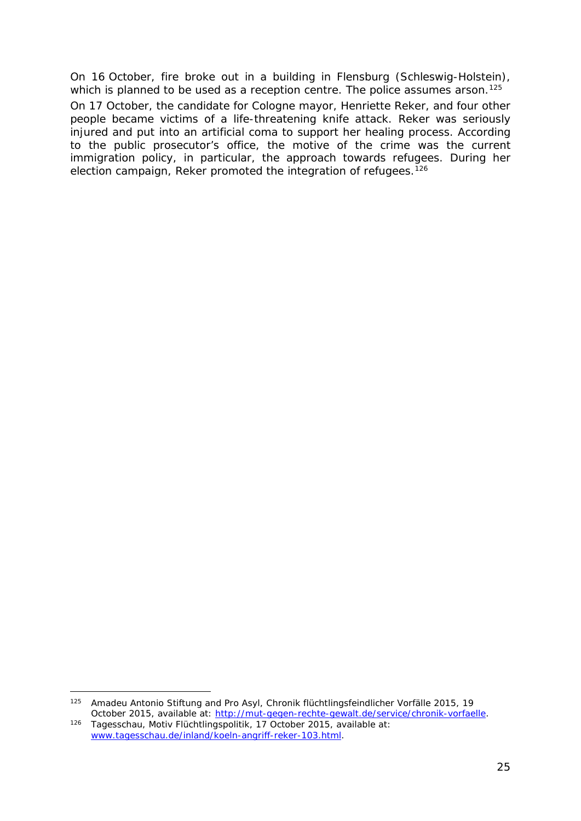On 16 October, fire broke out in a building in Flensburg (Schleswig-Holstein), which is planned to be used as a reception centre. The police assumes arson.<sup>125</sup>

On 17 October, the candidate for Cologne mayor, Henriette Reker, and four other people became victims of a life-threatening knife attack. Reker was seriously injured and put into an artificial coma to support her healing process. According to the public prosecutor's office, the motive of the crime was the current immigration policy, in particular, the approach towards refugees. During her election campaign, Reker promoted the integration of refugees.<sup>[126](#page-24-1)</sup>

j,

<span id="page-24-0"></span><sup>125</sup> Amadeu Antonio Stiftung and Pro Asyl, *Chronik flüchtlingsfeindlicher Vorfälle 2015*, 19 October 2015, available at: [http://mut-gegen-rechte-gewalt.de/service/chronik-vorfaelle.](http://mut-gegen-rechte-gewalt.de/service/chronik-vorfaelle)

<span id="page-24-1"></span><sup>126</sup> Tagesschau, *Motiv Flüchtlingspolitik,* 17 October 2015, available at: [www.tagesschau.de/inland/koeln-angriff-reker-103.html.](http://www.tagesschau.de/inland/koeln-angriff-reker-103.html)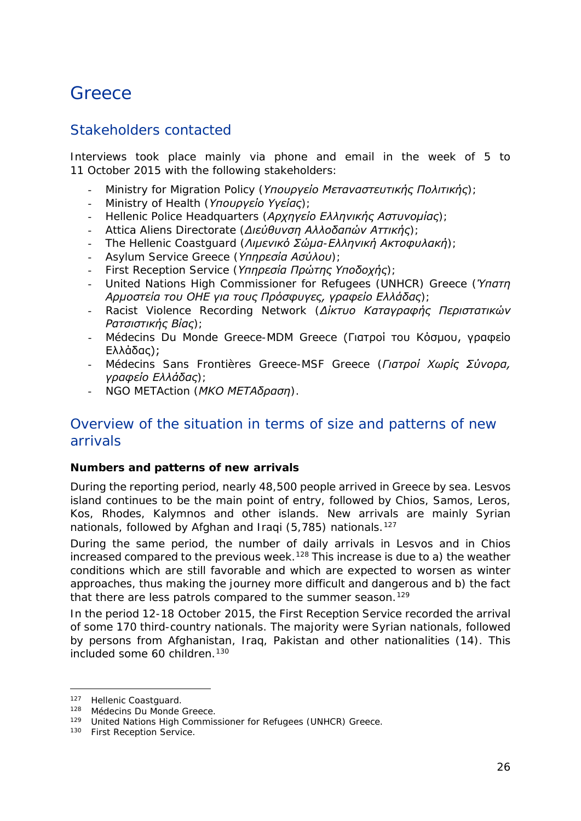## <span id="page-25-0"></span>**Greece**

## Stakeholders contacted

Interviews took place mainly via phone and email in the week of 5 to 11 October 2015 with the following stakeholders:

- Ministry for Migration Policy (*Υπουργείο Μεταναστευτικής Πολιτικής*);
- Ministry of Health (*Υπουργείο Υγείας*);
- Hellenic Police Headquarters (*Αρχηγείο Ελληνικής Αστυνομίας*);
- Attica Aliens Directorate (*Διεύθυνση Αλλοδαπών Αττικής*);
- The Hellenic Coastguard (*Λιμενικό Σώμα-Ελληνική Ακτοφυλακή*);
- Asylum Service Greece (*Υπηρεσία Ασύλου*);
- First Reception Service (*Υπηρεσία Πρώτης Υποδοχής*);
- United Nations High Commissioner for Refugees (UNHCR) Greece (*Ύπατη Αρμοστεία του ΟΗΕ για τους Πρόσφυγες, γραφείο Ελλάδας*);
- Racist Violence Recording Network (*Δίκτυο Καταγραφής Περιστατικών Ρατσιστικής Βίας*);
- Médecins Du Monde Greece-MDM Greece (Γιατροί του Κόσμου, γραφείο Ελλάδας);
- Médecins Sans Frontières Greece-MSF Greece (*Γιατροί Χωρίς Σύνορα, γραφείο Ελλάδας*);
- NGO METAction (*ΜΚΟ ΜΕΤΑδραση*).

## Overview of the situation in terms of size and patterns of new arrivals

#### **Numbers and patterns of new arrivals**

During the reporting period, nearly 48,500 people arrived in Greece by sea. Lesvos island continues to be the main point of entry, followed by Chios, Samos, Leros, Kos, Rhodes, Kalymnos and other islands. New arrivals are mainly Syrian nationals, followed by Afghan and Iraqi (5,785) nationals.<sup>[127](#page-25-1)</sup>

During the same period, the number of daily arrivals in Lesvos and in Chios increased compared to the previous week.<sup>[128](#page-25-2)</sup> This increase is due to a) the weather conditions which are still favorable and which are expected to worsen as winter approaches, thus making the journey more difficult and dangerous and b) the fact that there are less patrols compared to the summer season.<sup>[129](#page-25-3)</sup>

In the period 12-18 October 2015, the First Reception Service recorded the arrival of some 170 third-country nationals. The majority were Syrian nationals, followed by persons from Afghanistan, Iraq, Pakistan and other nationalities (14). This included some 60 children.<sup>[130](#page-25-4)</sup>

<sup>127</sup> Hellenic Coastguard.

<span id="page-25-2"></span><span id="page-25-1"></span><sup>128</sup> Médecins Du Monde Greece.

<span id="page-25-3"></span><sup>129</sup> United Nations High Commissioner for Refugees (UNHCR) Greece.

<span id="page-25-4"></span><sup>130</sup> First Reception Service.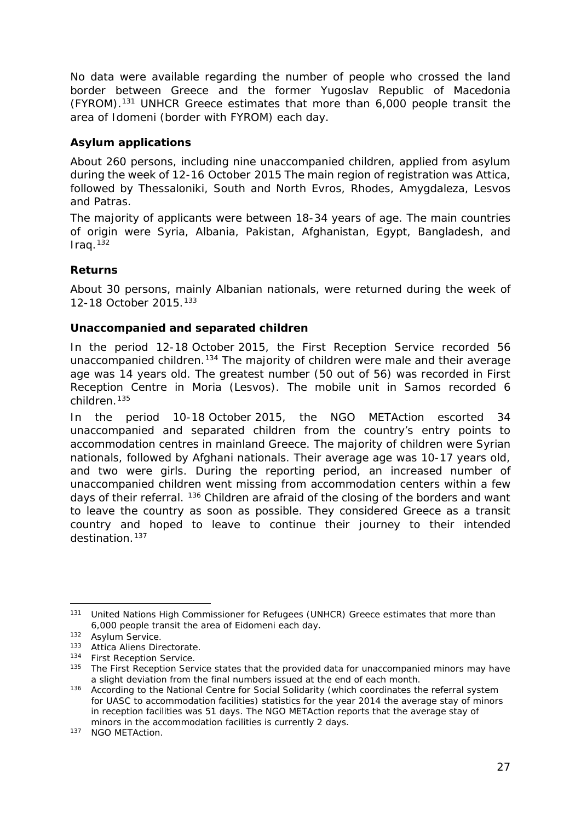<span id="page-26-4"></span>No data were available regarding the number of people who crossed the land border between Greece and the former Yugoslav Republic of Macedonia (FYROM).[131](#page-26-0) UNHCR Greece estimates that more than 6,000 people transit the area of Idomeni (border with FYROM) each day.

#### **Asylum applications**

About 260 persons, including nine unaccompanied children, applied from asylum during the week of 12-16 October 2015 The main region of registration was Attica, followed by Thessaloniki, South and North Evros, Rhodes, Amygdaleza, Lesvos and Patras.

The majority of applicants were between 18-34 years of age. The main countries of origin were Syria, Albania, Pakistan, Afghanistan, Egypt, Bangladesh, and  $Iraq.$ <sup>[132](#page-26-1)</sup>

#### **Returns**

About 30 persons, mainly Albanian nationals, were returned during the week of 12-18 October 2015.[133](#page-26-2)

#### **Unaccompanied and separated children**

In the period 12-18 October 2015, the First Reception Service recorded 56 unaccompanied children.<sup>[134](#page-26-3)</sup> The majority of children were male and their average age was 14 years old. The greatest number (50 out of 56) was recorded in First Reception Centre in Moria (Lesvos). The mobile unit in Samos recorded 6 children.[135](#page-26-4)

In the period 10-18 October 2015, the NGO METAction escorted 34 unaccompanied and separated children from the country's entry points to accommodation centres in mainland Greece. The majority of children were Syrian nationals, followed by Afghani nationals. Their average age was 10-17 years old, and two were girls. During the reporting period, an increased number of unaccompanied children went missing from accommodation centers within a few days of their referral. [136](#page-26-5) Children are afraid of the closing of the borders and want to leave the country as soon as possible. They considered Greece as a transit country and hoped to leave to continue their journey to their intended destination.<sup>[137](#page-26-4)</sup>

<span id="page-26-0"></span><sup>&</sup>lt;sup>131</sup> United Nations High Commissioner for Refugees (UNHCR) Greece estimates that more than 6,000 people transit the area of Eidomeni each day. -

<span id="page-26-1"></span><sup>&</sup>lt;sup>132</sup> Asylum Service.

<span id="page-26-2"></span><sup>133</sup> Attica Aliens Directorate.

<sup>134</sup> First Reception Service.

<span id="page-26-3"></span><sup>&</sup>lt;sup>135</sup> The First Reception Service states that the provided data for unaccompanied minors may have a slight deviation from the final numbers issued at the end of each month.

<span id="page-26-5"></span><sup>&</sup>lt;sup>136</sup> According to the National Centre for Social Solidarity (which coordinates the referral system for UASC to accommodation facilities) statistics for the year 2014 the average stay of minors in reception facilities was 51 days. The NGO METAction reports that the average stay of minors in the accommodation facilities is currently 2 days.

<sup>137</sup> NGO METAction.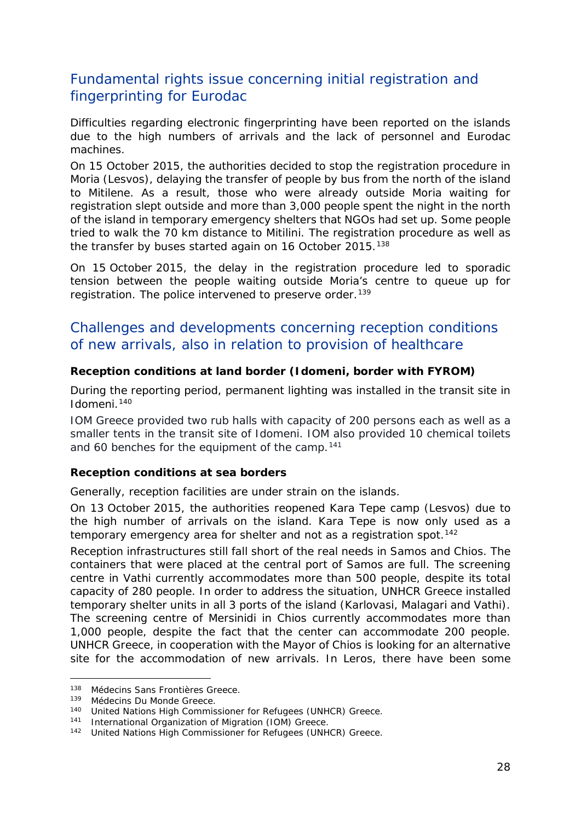## Fundamental rights issue concerning initial registration and fingerprinting for Eurodac

Difficulties regarding electronic fingerprinting have been reported on the islands due to the high numbers of arrivals and the lack of personnel and Eurodac machines.

On 15 October 2015, the authorities decided to stop the registration procedure in Moria (Lesvos), delaying the transfer of people by bus from the north of the island to Mitilene. As a result, those who were already outside Moria waiting for registration slept outside and more than 3,000 people spent the night in the north of the island in temporary emergency shelters that NGOs had set up. Some people tried to walk the 70 km distance to Mitilini. The registration procedure as well as the transfer by buses started again on 16 October 2015.<sup>[138](#page-27-0)</sup>

On 15 October 2015, the delay in the registration procedure led to sporadic tension between the people waiting outside Moria's centre to queue up for registration. The police intervened to preserve order.<sup>[139](#page-27-1)</sup>

## Challenges and developments concerning reception conditions of new arrivals, also in relation to provision of healthcare

#### **Reception conditions at land border (Idomeni, border with FYROM)**

During the reporting period, permanent lighting was installed in the transit site in Idomeni.[140](#page-27-2)

IOM Greece provided two rub halls with capacity of 200 persons each as well as a smaller tents in the transit site of Idomeni. IOM also provided 10 chemical toilets and 60 benches for the equipment of the camp.<sup>[141](#page-27-3)</sup>

#### **Reception conditions at sea borders**

Generally, reception facilities are under strain on the islands.

On 13 October 2015, the authorities reopened Kara Tepe camp (Lesvos) due to the high number of arrivals on the island. Kara Tepe is now only used as a temporary emergency area for shelter and not as a registration spot.<sup>[142](#page-27-4)</sup>

Reception infrastructures still fall short of the real needs in Samos and Chios. The containers that were placed at the central port of Samos are full. The screening centre in Vathi currently accommodates more than 500 people, despite its total capacity of 280 people. In order to address the situation, UNHCR Greece installed temporary shelter units in all 3 ports of the island (Karlovasi, Malagari and Vathi). The screening centre of Mersinidi in Chios currently accommodates more than 1,000 people, despite the fact that the center can accommodate 200 people. UNHCR Greece, in cooperation with the Mayor of Chios is looking for an alternative site for the accommodation of new arrivals. In Leros, there have been some

<sup>138</sup> Médecins Sans Frontières Greece. -

<span id="page-27-1"></span><span id="page-27-0"></span><sup>139</sup> Médecins Du Monde Greece.

<span id="page-27-2"></span><sup>140</sup> United Nations High Commissioner for Refugees (UNHCR) Greece.

<span id="page-27-3"></span><sup>141</sup> International Organization of Migration (IOM) Greece.

<span id="page-27-4"></span><sup>142</sup> United Nations High Commissioner for Refugees (UNHCR) Greece.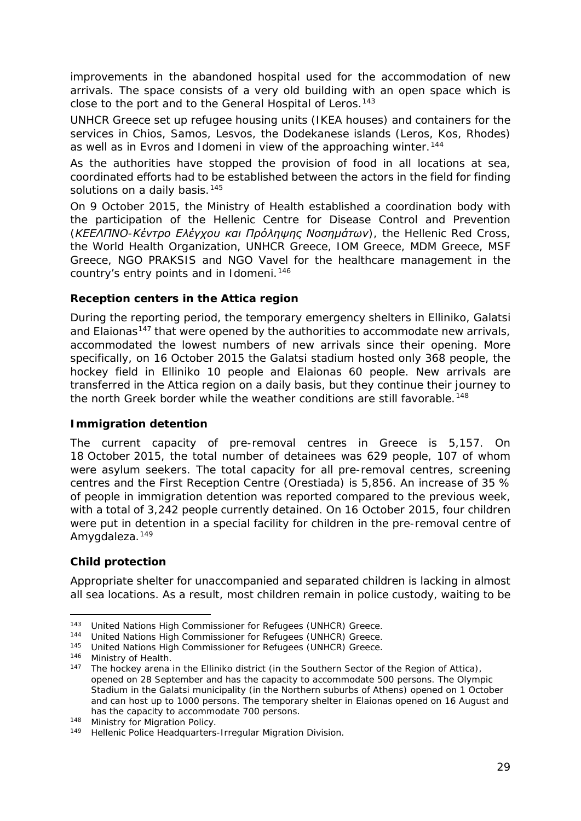<span id="page-28-5"></span>improvements in the abandoned hospital used for the accommodation of new arrivals. The space consists of a very old building with an open space which is close to the port and to the General Hospital of Leros.<sup>[143](#page-28-0)</sup>

UNHCR Greece set up refugee housing units (IKEA houses) and containers for the services in Chios, Samos, Lesvos, the Dodekanese islands (Leros, Kos, Rhodes) as well as in Evros and Idomeni in view of the approaching winter.<sup>[144](#page-28-1)</sup>

As the authorities have stopped the provision of food in all locations at sea, coordinated efforts had to be established between the actors in the field for finding solutions on a daily basis.<sup>[145](#page-28-2)</sup>

On 9 October 2015, the Ministry of Health established a coordination body with the participation of the Hellenic Centre for Disease Control and Prevention *(ΚΕΕΛΠΝΟ-Κέντρο Ελέγχου και Πρόληψης Νοσημάτων)*, the Hellenic Red Cross, the World Health Organization, UNHCR Greece, IOM Greece, MDM Greece, MSF Greece, NGO PRAKSIS and NGO Vavel for the healthcare management in the country's entry points and in Idomeni.<sup>[146](#page-28-3)</sup>

#### **Reception centers in the Attica region**

During the reporting period, the temporary emergency shelters in Elliniko, Galatsi and Elaionas<sup>[147](#page-28-4)</sup> that were opened by the authorities to accommodate new arrivals, accommodated the lowest numbers of new arrivals since their opening. More specifically, on 16 October 2015 the Galatsi stadium hosted only 368 people, the hockey field in Elliniko 10 people and Elaionas 60 people. New arrivals are transferred in the Attica region on a daily basis, but they continue their journey to the north Greek border while the weather conditions are still favorable.<sup>[148](#page-28-5)</sup>

#### **Immigration detention**

The current capacity of pre-removal centres in Greece is 5,157. On 18 October 2015, the total number of detainees was 629 people, 107 of whom were asylum seekers. The total capacity for all pre-removal centres, screening centres and the First Reception Centre (Orestiada) is 5,856. An increase of 35 % of people in immigration detention was reported compared to the previous week, with a total of 3,242 people currently detained. On 16 October 2015, four children were put in detention in a special facility for children in the pre-removal centre of Amygdaleza.<sup>[149](#page-28-6)</sup>

#### **Child protection**

j,

Appropriate shelter for unaccompanied and separated children is lacking in almost all sea locations. As a result, most children remain in police custody, waiting to be

<sup>&</sup>lt;sup>143</sup> United Nations High Commissioner for Refugees (UNHCR) Greece.

<span id="page-28-1"></span><span id="page-28-0"></span><sup>144</sup> United Nations High Commissioner for Refugees (UNHCR) Greece.

<span id="page-28-2"></span><sup>145</sup> United Nations High Commissioner for Refugees (UNHCR) Greece.

<span id="page-28-4"></span><span id="page-28-3"></span><sup>146</sup> Ministry of Health.<br>147 The hockey arons

The hockey arena in the Elliniko district (in the Southern Sector of the Region of Attica), opened on 28 September and has the capacity to accommodate 500 persons. The Olympic Stadium in the Galatsi municipality (in the Northern suburbs of Athens) opened on 1 October and can host up to 1000 persons. The temporary shelter in Elaionas opened on 16 August and has the capacity to accommodate 700 persons.

<sup>148</sup> Ministry for Migration Policy.

<span id="page-28-6"></span><sup>149</sup> Hellenic Police Headquarters-Irregular Migration Division.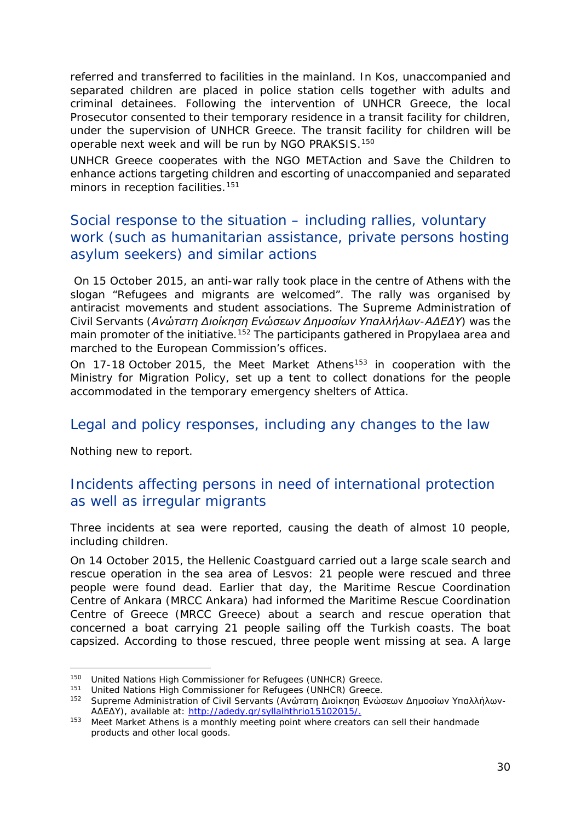referred and transferred to facilities in the mainland. In Kos, unaccompanied and separated children are placed in police station cells together with adults and criminal detainees. Following the intervention of UNHCR Greece, the local Prosecutor consented to their temporary residence in a transit facility for children, under the supervision of UNHCR Greece. The transit facility for children will be operable next week and will be run by NGO PRAKSIS.[150](#page-29-0)

UNHCR Greece cooperates with the NGO METAction and Save the Children to enhance actions targeting children and escorting of unaccompanied and separated minors in reception facilities.<sup>[151](#page-29-1)</sup>

## Social response to the situation – including rallies, voluntary work (such as humanitarian assistance, private persons hosting asylum seekers) and similar actions

On 15 October 2015, an anti-war rally took place in the centre of Athens with the slogan "*Refugees and migrants are welcomed*". The rally was organised by antiracist movements and student associations. The Supreme Administration of Civil Servants (*Ανώτατη Διοίκηση Ενώσεων Δημοσίων Υπαλλήλων-ΑΔΕΔΥ*) was the main promoter of the initiative.<sup>[152](#page-29-2)</sup> The participants gathered in Propylaea area and marched to the European Commission's offices.

On 17-18 October 2015, the Meet Market Athens<sup>[153](#page-29-3)</sup> in cooperation with the Ministry for Migration Policy, set up a tent to collect donations for the people accommodated in the temporary emergency shelters of Attica.

## Legal and policy responses, including any changes to the law

Nothing new to report.

j,

## Incidents affecting persons in need of international protection as well as irregular migrants

Three incidents at sea were reported, causing the death of almost 10 people, including children.

On 14 October 2015, the Hellenic Coastguard carried out a large scale search and rescue operation in the sea area of Lesvos: 21 people were rescued and three people were found dead. Earlier that day, the Maritime Rescue Coordination Centre of Ankara (MRCC Ankara) had informed the Maritime Rescue Coordination Centre of Greece (MRCC Greece) about a search and rescue operation that concerned a boat carrying 21 people sailing off the Turkish coasts. The boat capsized. According to those rescued, three people went missing at sea. A large

<span id="page-29-0"></span><sup>150</sup> United Nations High Commissioner for Refugees (UNHCR) Greece.

<span id="page-29-1"></span><sup>151</sup> United Nations High Commissioner for Refugees (UNHCR) Greece.

<span id="page-29-2"></span><sup>152</sup> Supreme Administration of Civil Servants (Ανώτατη Διοίκηση Ενώσεων Δημοσίων Υπαλλήλων-ΑΔΕΔΥ), available at: [http://adedy.gr/syllalhthrio15102015/.](http://adedy.gr/syllalhthrio15102015/)

<span id="page-29-3"></span><sup>153</sup> Meet Market Athens is a monthly meeting point where creators can sell their handmade products and other local goods.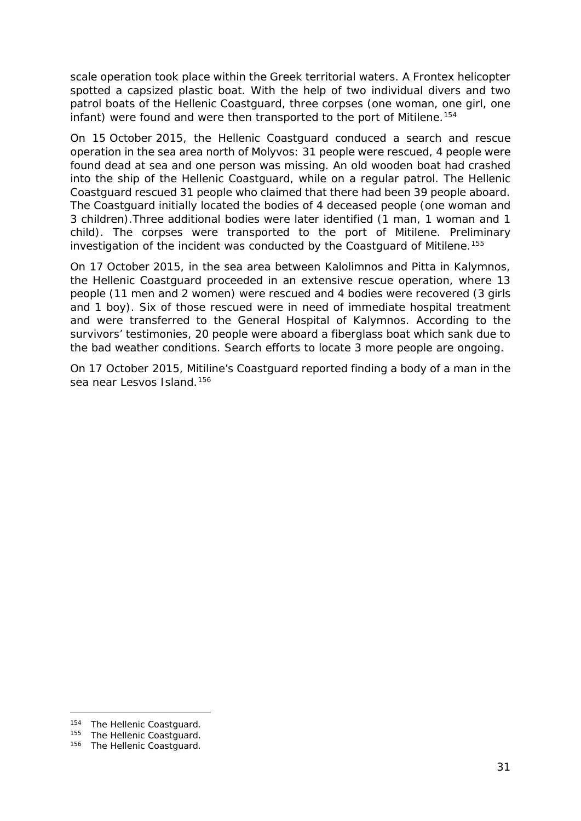scale operation took place within the Greek territorial waters. A Frontex helicopter spotted a capsized plastic boat. With the help of two individual divers and two patrol boats of the Hellenic Coastguard, three corpses (one woman, one girl, one infant) were found and were then transported to the port of Mitilene.<sup>[154](#page-30-0)</sup>

On 15 October 2015, the Hellenic Coastguard conduced a search and rescue operation in the sea area north of Molyvos: 31 people were rescued, 4 people were found dead at sea and one person was missing. An old wooden boat had crashed into the ship of the Hellenic Coastguard, while on a regular patrol. The Hellenic Coastguard rescued 31 people who claimed that there had been 39 people aboard. The Coastguard initially located the bodies of 4 deceased people (one woman and 3 children).Three additional bodies were later identified (1 man, 1 woman and 1 child). The corpses were transported to the port of Mitilene. Preliminary investigation of the incident was conducted by the Coastguard of Mitilene.<sup>[155](#page-30-1)</sup>

On 17 October 2015, in the sea area between Kalolimnos and Pitta in Kalymnos, the Hellenic Coastguard proceeded in an extensive rescue operation, where 13 people (11 men and 2 women) were rescued and 4 bodies were recovered (3 girls and 1 boy). Six of those rescued were in need of immediate hospital treatment and were transferred to the General Hospital of Kalymnos. According to the survivors' testimonies, 20 people were aboard a fiberglass boat which sank due to the bad weather conditions. Search efforts to locate 3 more people are ongoing.

On 17 October 2015, Mitiline's Coastguard reported finding a body of a man in the sea near Lesvos Island.<sup>[156](#page-30-2)</sup>

<span id="page-30-0"></span><sup>154</sup> The Hellenic Coastguard.

<span id="page-30-1"></span><sup>155</sup> The Hellenic Coastguard.

<span id="page-30-2"></span><sup>156</sup> The Hellenic Coastguard.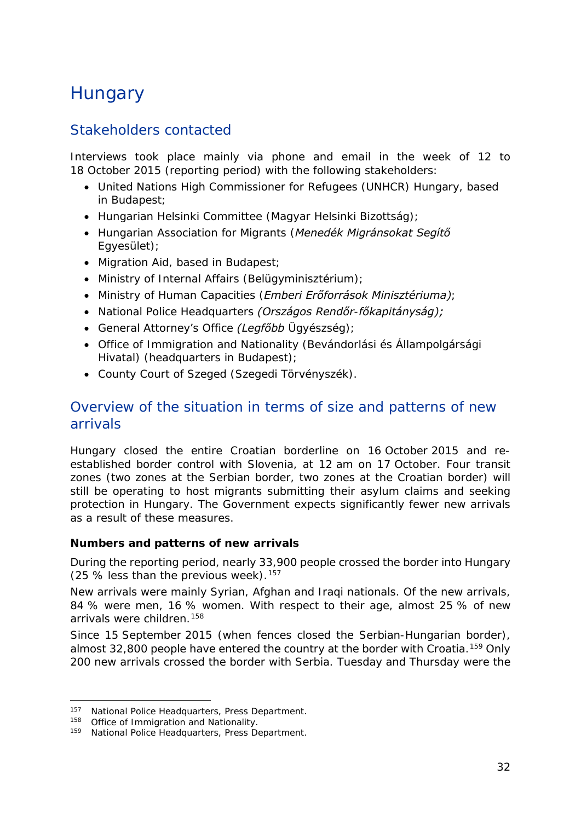## <span id="page-31-0"></span>**Hungary**

## Stakeholders contacted

Interviews took place mainly via phone and email in the week of 12 to 18 October 2015 (reporting period) with the following stakeholders:

- United Nations High Commissioner for Refugees (UNHCR) Hungary, based in Budapest;
- Hungarian Helsinki Committee (*Magyar Helsinki Bizottság)*;
- Hungarian Association for Migrants (*Menedék Migránsokat Segítő Egyesület)*;
- Migration Aid, based in Budapest;
- Ministry of Internal Affairs (*Belügyminisztérium)*;
- Ministry of Human Capacities (*Emberi Erőforrások Minisztériuma)*;
- National Police Headquarters *(Országos Rendőr-főkapitányság);*
- General Attorney's Office *(Legfőbb Ügyészség)*;
- Office of Immigration and Nationality (*Bevándorlási és Állampolgársági Hivatal)* (headquarters in Budapest);
- County Court of Szeged (*Szegedi Törvényszék).*

## Overview of the situation in terms of size and patterns of new arrivals

Hungary closed the entire Croatian borderline on 16 October 2015 and reestablished border control with Slovenia, at 12 am on 17 October. Four transit zones (two zones at the Serbian border, two zones at the Croatian border) will still be operating to host migrants submitting their asylum claims and seeking protection in Hungary. The Government expects significantly fewer new arrivals as a result of these measures.

#### **Numbers and patterns of new arrivals**

During the reporting period, nearly 33,900 people crossed the border into Hungary (25 % less than the previous week).  $157$ 

New arrivals were mainly Syrian, Afghan and Iraqi nationals. Of the new arrivals, 84 % were men, 16 % women. With respect to their age, almost 25 % of new arrivals were children.<sup>[158](#page-31-2)</sup>

Since 15 September 2015 (when fences closed the Serbian-Hungarian border), almost 32,800 people have entered the country at the border with Croatia.<sup>[159](#page-31-3)</sup> Only 200 new arrivals crossed the border with Serbia. Tuesday and Thursday were the

<span id="page-31-1"></span><sup>157</sup> National Police Headquarters, Press Department.

<span id="page-31-2"></span><sup>158</sup> Office of Immigration and Nationality.

<span id="page-31-3"></span><sup>159</sup> National Police Headquarters, Press Department.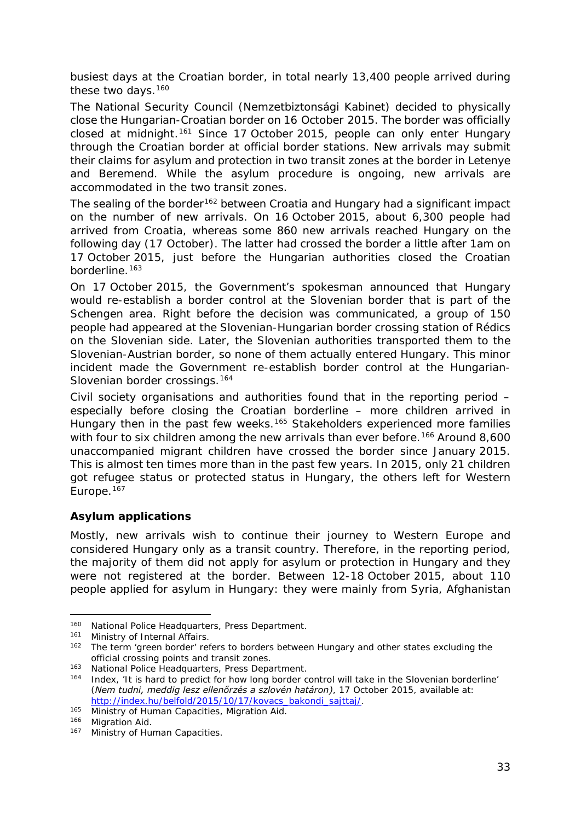<span id="page-32-3"></span>busiest days at the Croatian border, in total nearly 13,400 people arrived during these two days.<sup>[160](#page-32-0)</sup>

The National Security Council (*Nemzetbiztonsági Kabinet)* decided to physically close the Hungarian-Croatian border on 16 October 2015. The border was officially closed at midnight.<sup>[161](#page-32-1)</sup> Since 17 October 2015, people can only enter Hungary through the Croatian border at official border stations. New arrivals may submit their claims for asylum and protection in two transit zones at the border in Letenye and Beremend. While the asylum procedure is ongoing, new arrivals are accommodated in the two transit zones.

The sealing of the border<sup>[162](#page-32-2)</sup> between Croatia and Hungary had a significant impact on the number of new arrivals. On 16 October 2015, about 6,300 people had arrived from Croatia, whereas some 860 new arrivals reached Hungary on the following day (17 October). The latter had crossed the border a little after 1am on 17 October 2015, just before the Hungarian authorities closed the Croatian borderline.<sup>[163](#page-32-3)</sup>

On 17 October 2015, the Government's spokesman announced that Hungary would re-establish a border control at the Slovenian border that is part of the Schengen area. Right before the decision was communicated, a group of 150 people had appeared at the Slovenian-Hungarian border crossing station of Rédics on the Slovenian side. Later, the Slovenian authorities transported them to the Slovenian-Austrian border, so none of them actually entered Hungary. This minor incident made the Government re-establish border control at the Hungarian-Slovenian border crossings.<sup>[164](#page-32-4)</sup>

Civil society organisations and authorities found that in the reporting period – especially before closing the Croatian borderline – more children arrived in Hungary then in the past few weeks.[165](#page-32-5) Stakeholders experienced more families with four to six children among the new arrivals than ever before.<sup>[166](#page-32-3)</sup> Around 8,600 unaccompanied migrant children have crossed the border since January 2015. This is almost ten times more than in the past few years. In 2015, only 21 children got refugee status or protected status in Hungary, the others left for Western Europe.<sup>[167](#page-32-3)</sup>

#### **Asylum applications**

Mostly, new arrivals wish to continue their journey to Western Europe and considered Hungary only as a transit country. Therefore, in the reporting period, the majority of them did not apply for asylum or protection in Hungary and they were not registered at the border. Between 12-18 October 2015, about 110 people applied for asylum in Hungary: they were mainly from Syria, Afghanistan

j,

<sup>&</sup>lt;sup>160</sup> National Police Headquarters, Press Department.

<span id="page-32-1"></span><span id="page-32-0"></span><sup>&</sup>lt;sup>161</sup> Ministry of Internal Affairs.<br><sup>162</sup> The term 'green border' ref

<span id="page-32-2"></span>The term 'green border' refers to borders between Hungary and other states excluding the official crossing points and transit zones.<br><sup>163</sup> National Police Headquarters, Press Department.<br><sup>164</sup> Index (It is hard to predict for how long border of

<span id="page-32-4"></span>Index, 'It is hard to predict for how long border control will take in the Slovenian borderline' (*Nem tudni, meddig lesz ellenőrzés a szlovén határon)*, 17 October 2015, available at: [http://index.hu/belfold/2015/10/17/kovacs\\_bakondi\\_sajttaj/.](http://index.hu/belfold/2015/10/17/kovacs_bakondi_sajttaj/)

<span id="page-32-5"></span><sup>165</sup> Ministry of Human Capacities, Migration Aid.

<sup>166</sup> Migration Aid.

<sup>167</sup> Ministry of Human Capacities.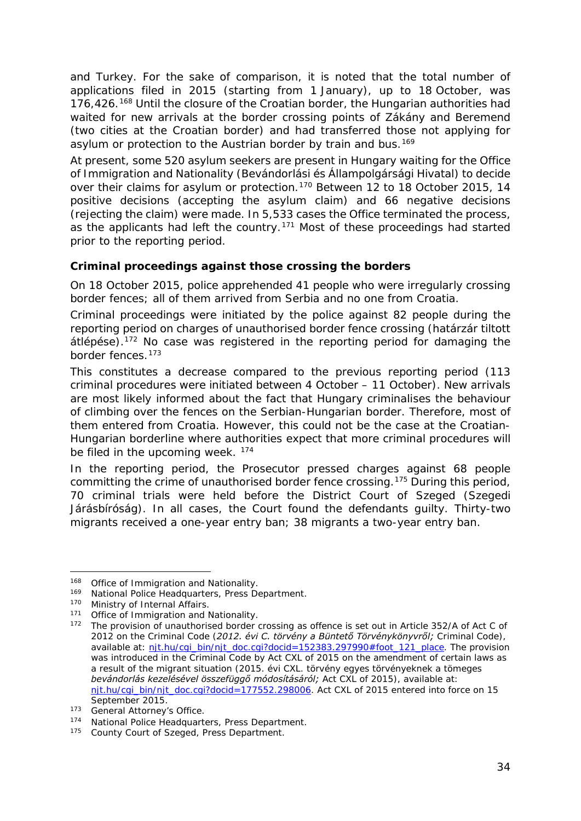<span id="page-33-3"></span>and Turkey. For the sake of comparison, it is noted that the total number of applications filed in 2015 (starting from 1 January), up to 18 October, was 176,426.[168](#page-33-0) Until the closure of the Croatian border, the Hungarian authorities had waited for new arrivals at the border crossing points of Zákány and Beremend (two cities at the Croatian border) and had transferred those not applying for asylum or protection to the Austrian border by train and bus.<sup>[169](#page-33-1)</sup>

At present, some 520 asylum seekers are present in Hungary waiting for the Office of Immigration and Nationality (*Bevándorlási és Állampolgársági Hivatal*) to decide over their claims for asylum or protection.<sup>[170](#page-33-2)</sup> Between 12 to 18 October 2015, 14 positive decisions (accepting the asylum claim) and 66 negative decisions (rejecting the claim) were made. In 5,533 cases the Office terminated the process, as the applicants had left the country.<sup>[171](#page-33-3)</sup> Most of these proceedings had started prior to the reporting period.

#### **Criminal proceedings against those crossing the borders**

On 18 October 2015, police apprehended 41 people who were irregularly crossing border fences; all of them arrived from Serbia and no one from Croatia.

Criminal proceedings were initiated by the police against 82 people during the reporting period on charges of unauthorised border fence crossing (*határzár tiltott átlépése*).[172](#page-33-4) No case was registered in the reporting period for damaging the border fences.[173](#page-33-3)

This constitutes a decrease compared to the previous reporting period (113 criminal procedures were initiated between 4 October – 11 October). New arrivals are most likely informed about the fact that Hungary criminalises the behaviour of climbing over the fences on the Serbian-Hungarian border. Therefore, most of them entered from Croatia. However, this could not be the case at the Croatian-Hungarian borderline where authorities expect that more criminal procedures will be filed in the upcoming week. <sup>[174](#page-33-5)</sup>

In the reporting period, the Prosecutor pressed charges against 68 people committing the crime of unauthorised border fence crossing.[175](#page-33-6) During this period, 70 criminal trials were held before the District Court of Szeged (*Szegedi Járásbíróság)*. In all cases, the Court found the defendants guilty. Thirty-two migrants received a one-year entry ban; 38 migrants a two-year entry ban.

<sup>168</sup> Office of Immigration and Nationality. -

<span id="page-33-1"></span><span id="page-33-0"></span><sup>169</sup> National Police Headquarters, Press Department.

<span id="page-33-2"></span><sup>170</sup> Ministry of Internal Affairs.

<sup>171</sup> Office of Immigration and Nationality.

<span id="page-33-4"></span><sup>172</sup> The provision of unauthorised border crossing as offence is set out in Article 352/A of Act C of 2012 on the Criminal Code (*2012. évi C. törvény a Büntető Törvénykönyvről;* Criminal Code), available at: [njt.hu/cgi\\_bin/njt\\_doc.cgi?docid=152383.297990#foot\\_121\\_place.](http://njt.hu/cgi_bin/njt_doc.cgi?docid=152383.297990%23foot_121_place) The provision was introduced in the Criminal Code by Act CXL of 2015 on the amendment of certain laws as a result of the migrant situation (*2015. évi CXL. törvény egyes törvényeknek a tömeges bevándorlás kezelésével összefüggő módosításáról;* Act CXL of 2015), available at: [njt.hu/cgi\\_bin/njt\\_doc.cgi?docid=177552.298006.](http://njt.hu/cgi_bin/njt_doc.cgi?docid=177552.298006) Act CXL of 2015 entered into force on 15<br>September 2015.

<sup>173</sup> General Attorney's Office.

<span id="page-33-5"></span><sup>174</sup> National Police Headquarters, Press Department.

<span id="page-33-6"></span><sup>175</sup> County Court of Szeged, Press Department.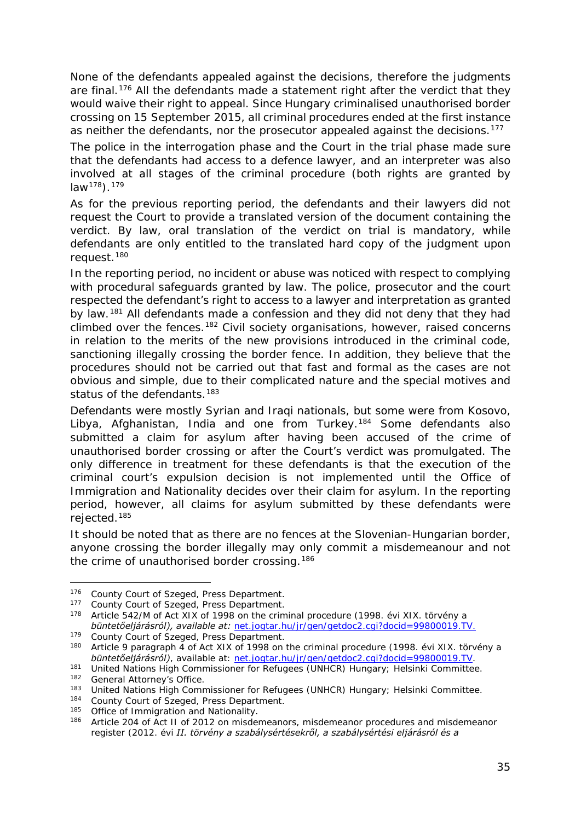<span id="page-34-1"></span>None of the defendants appealed against the decisions, therefore the judgments are final.<sup>[176](#page-34-0)</sup> All the defendants made a statement right after the verdict that they would waive their right to appeal. Since Hungary criminalised unauthorised border crossing on 15 September 2015, all criminal procedures ended at the first instance as neither the defendants, nor the prosecutor appealed against the decisions.<sup>[177](#page-34-1)</sup>

The police in the interrogation phase and the Court in the trial phase made sure that the defendants had access to a defence lawyer, and an interpreter was also involved at all stages of the criminal procedure (both rights are granted by  $law<sup>178</sup>$  $law<sup>178</sup>$  $law<sup>178</sup>$ ).  $179$ 

As for the previous reporting period, the defendants and their lawyers did not request the Court to provide a translated version of the document containing the verdict. By law, oral translation of the verdict on trial is mandatory, while defendants are only entitled to the translated hard copy of the judgment upon request.[180](#page-34-3)

In the reporting period, no incident or abuse was noticed with respect to complying with procedural safeguards granted by law. The police, prosecutor and the court respected the defendant's right to access to a lawyer and interpretation as granted by law.<sup>[181](#page-34-4)</sup> All defendants made a confession and they did not deny that they had climbed over the fences.[182](#page-34-1) Civil society organisations, however, raised concerns in relation to the merits of the new provisions introduced in the criminal code, sanctioning illegally crossing the border fence. In addition, they believe that the procedures should not be carried out that fast and formal as the cases are not obvious and simple, due to their complicated nature and the special motives and status of the defendants.<sup>[183](#page-34-1)</sup>

Defendants were mostly Syrian and Iraqi nationals, but some were from Kosovo, Libya, Afghanistan, India and one from Turkey.[184](#page-34-5) Some defendants also submitted a claim for asylum after having been accused of the crime of unauthorised border crossing or after the Court's verdict was promulgated. The only difference in treatment for these defendants is that the execution of the criminal court's expulsion decision is not implemented until the Office of Immigration and Nationality decides over their claim for asylum. In the reporting period, however, all claims for asylum submitted by these defendants were rejected.[185](#page-34-1)

It should be noted that as there are no fences at the Slovenian-Hungarian border, anyone crossing the border illegally may only commit a misdemeanour and not the crime of unauthorised border crossing.<sup>[186](#page-34-6)</sup>

179 County Court of Szeged, Press Department.<br><sup>180</sup> Article 9 paragraph 4 of Act XIX of 1998 on 1

<span id="page-34-0"></span><sup>&</sup>lt;sup>176</sup> County Court of Szeged, Press Department.<br><sup>177</sup> County Court of Szogod, Press Department.

<span id="page-34-2"></span><sup>177</sup> County Court of Szeged, Press Department.<br>178 Article E43/M of Act XIX of 1009 on the crim

<sup>178</sup> Article 542/M of Act XIX of 1998 on the criminal procedure (*1998. évi XIX. törvény a büntetőeljárásról), available at:* net.jogtar.hu/jr/gen/getdoc2.cgi?docid=99800019.TV.

<span id="page-34-3"></span><sup>180</sup> Article 9 paragraph 4 of Act XIX of 1998 on the criminal procedure (*1998. évi XIX. törvény a büntetőeljárásról)*, available at: net.jogtar.hu/jr/gen/getdoc2.cgi?docid=99800019.TV.

<span id="page-34-4"></span><sup>181</sup> United Nations High Commissioner for Refugees (UNHCR) Hungary; Helsinki Committee.

<sup>&</sup>lt;sup>182</sup> General Attorney's Office.<br><sup>183</sup> Heited National ligh Comp

<sup>&</sup>lt;sup>183</sup> United Nations High Commissioner for Refugees (UNHCR) Hungary; Helsinki Committee.

<span id="page-34-5"></span><sup>&</sup>lt;sup>184</sup> County Court of Szeged, Press Department.<sup>185</sup> Office of Immigration and Nationality

<span id="page-34-6"></span><sup>&</sup>lt;sup>185</sup> Office of Immigration and Nationality.<br><sup>186</sup> Article 204 of Act II of 2012 on misdel

<sup>186</sup> Article 204 of Act II of 2012 on misdemeanors, misdemeanor procedures and misdemeanor register (*2012. évi II. törvény a szabálysértésekről, a szabálysértési eljárásról és a*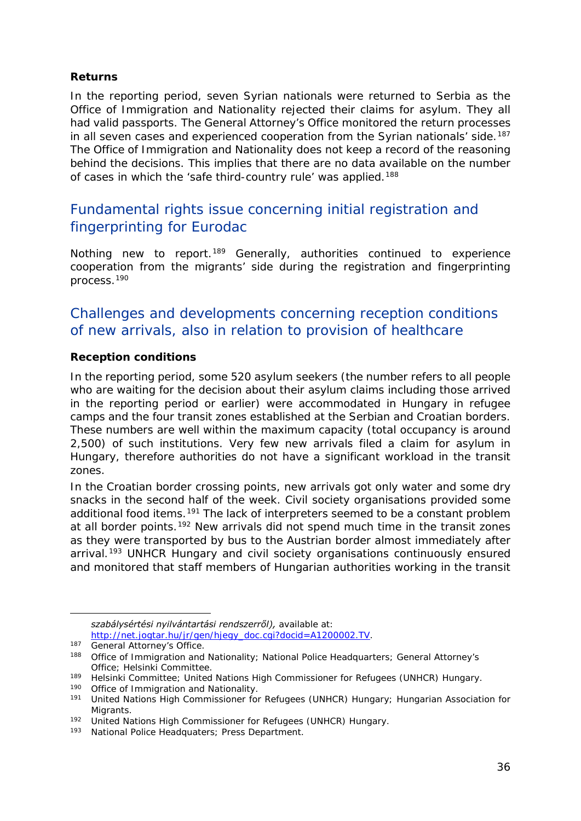#### <span id="page-35-1"></span>**Returns**

In the reporting period, seven Syrian nationals were returned to Serbia as the Office of Immigration and Nationality rejected their claims for asylum. They all had valid passports. The General Attorney's Office monitored the return processes in all seven cases and experienced cooperation from the Syrian nationals' side.<sup>[187](#page-35-0)</sup> The Office of Immigration and Nationality does not keep a record of the reasoning behind the decisions. This implies that there are no data available on the number of cases in which the 'safe third-country rule' was applied.<sup>[188](#page-35-1)</sup>

## Fundamental rights issue concerning initial registration and fingerprinting for Eurodac

Nothing new to report.<sup>[189](#page-35-2)</sup> Generally, authorities continued to experience cooperation from the migrants' side during the registration and fingerprinting process[.190](#page-35-1)

## Challenges and developments concerning reception conditions of new arrivals, also in relation to provision of healthcare

#### **Reception conditions**

In the reporting period, some 520 asylum seekers (the number refers to all people who are waiting for the decision about their asylum claims including those arrived in the reporting period or earlier) were accommodated in Hungary in refugee camps and the four transit zones established at the Serbian and Croatian borders. These numbers are well within the maximum capacity (total occupancy is around 2,500) of such institutions. Very few new arrivals filed a claim for asylum in Hungary, therefore authorities do not have a significant workload in the transit zones.

In the Croatian border crossing points, new arrivals got only water and some dry snacks in the second half of the week. Civil society organisations provided some additional food items.<sup>[191](#page-35-3)</sup> The lack of interpreters seemed to be a constant problem at all border points.<sup>[192](#page-35-1)</sup> New arrivals did not spend much time in the transit zones as they were transported by bus to the Austrian border almost immediately after arrival.<sup>[193](#page-35-1)</sup> UNHCR Hungary and civil society organisations continuously ensured and monitored that staff members of Hungarian authorities working in the transit

j,

*szabálysértési nyilvántartási rendszerről),* available at: [http://net.jogtar.hu/jr/gen/hjegy\\_doc.cgi?docid=A1200002.TV.](http://net.jogtar.hu/jr/gen/hjegy_doc.cgi?docid=A1200002.TV)<br>
<sup>187</sup> General Attorney's Office.

<span id="page-35-0"></span><sup>188</sup> Office of Immigration and Nationality; National Police Headquarters; General Attorney's Office; Helsinki Committee.

<span id="page-35-2"></span><sup>189</sup> Helsinki Committee; United Nations High Commissioner for Refugees (UNHCR) Hungary.

<sup>190</sup> Office of Immigration and Nationality.

<span id="page-35-3"></span><sup>191</sup> United Nations High Commissioner for Refugees (UNHCR) Hungary; Hungarian Association for Migrants.

<sup>192</sup> United Nations High Commissioner for Refugees (UNHCR) Hungary.

<sup>193</sup> National Police Headquaters; Press Department.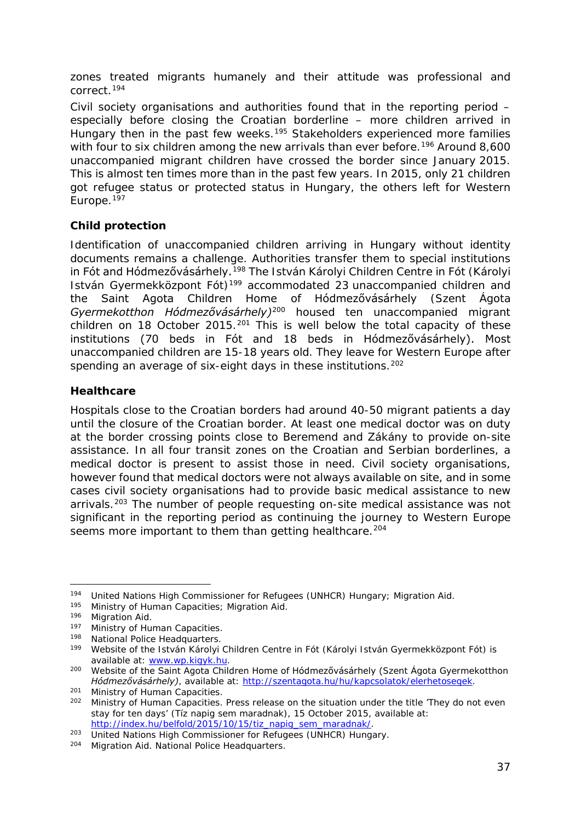<span id="page-36-2"></span>zones treated migrants humanely and their attitude was professional and correct.[194](#page-36-0)

Civil society organisations and authorities found that in the reporting period  $$ especially before closing the Croatian borderline – more children arrived in Hungary then in the past few weeks.<sup>[195](#page-36-1)</sup> Stakeholders experienced more families with four to six children among the new arrivals than ever before.<sup>[196](#page-36-2)</sup> Around 8,600 unaccompanied migrant children have crossed the border since January 2015. This is almost ten times more than in the past few years. In 2015, only 21 children got refugee status or protected status in Hungary, the others left for Western Europe.<sup>[197](#page-36-2)</sup>

#### **Child protection**

Identification of unaccompanied children arriving in Hungary without identity documents remains a challenge. Authorities transfer them to special institutions in Fót and Hódmezővásárhely.[198](#page-36-3) The István Károlyi Children Centre in Fót (*Károlyi István Gyermekközpont Fót)*[199](#page-36-2) accommodated 23 unaccompanied children and the Saint Agota Children Home of Hódmezővásárhely (*Szent Ágota Gyermekotthon Hódmezővásárhely)*[200](#page-36-2) housed ten unaccompanied migrant children on 18 October [201](#page-36-2)5.<sup>201</sup> This is well below the total capacity of these institutions (70 beds in Fót and 18 beds in Hódmezővásárhely). Most unaccompanied children are 15-18 years old. They leave for Western Europe after spending an average of six-eight days in these institutions.<sup>[202](#page-36-2)</sup>

#### **Healthcare**

Hospitals close to the Croatian borders had around 40-50 migrant patients a day until the closure of the Croatian border. At least one medical doctor was on duty at the border crossing points close to Beremend and Zákány to provide on-site assistance. In all four transit zones on the Croatian and Serbian borderlines, a medical doctor is present to assist those in need. Civil society organisations, however found that medical doctors were not always available on site, and in some cases civil society organisations had to provide basic medical assistance to new arrivals.<sup>[203](#page-36-4)</sup> The number of people requesting on-site medical assistance was not significant in the reporting period as continuing the journey to Western Europe seems more important to them than getting healthcare.<sup>[204](#page-36-2)</sup>

<span id="page-36-0"></span><sup>194</sup> United Nations High Commissioner for Refugees (UNHCR) Hungary; Migration Aid.<br>195 Ministry of Human Capacities: Migration Aid. -

<span id="page-36-1"></span><sup>196</sup> Migration Aid.

<sup>197</sup> Ministry of Human Capacities.

<span id="page-36-3"></span><sup>198</sup> National Police Headquarters.

<sup>199</sup> Website of the István Károlyi Children Centre in Fót (*Károlyi István Gyermekközpont Fót)* is available at: [www.wp.kigyk.hu.](http://www.wp.kigyk.hu/)

<sup>200</sup> Website of the Saint Agota Children Home of Hódmezővásárhely (*Szent Ágota Gyermekotthon Hódmezővásárhely)*, available at: [http://szentagota.hu/hu/kapcsolatok/elerhetosegek.](http://szentagota.hu/hu/kapcsolatok/elerhetosegek)<br><sup>201</sup> Ministry of Human Capacities.<br><sup>202</sup> Ministry of Human Capacities. Press release on the situation under the title 'They do no

<sup>202</sup> Ministry of Human Capacities. Press release on the situation under the title 'They do not even stay for ten days' (*Tíz napig sem maradnak)*, 15 October 2015, available at:

<span id="page-36-4"></span><sup>203</sup> United Nations High Commissioner for Refugees (UNHCR) Hungary.

<sup>204</sup> Migration Aid. National Police Headquarters.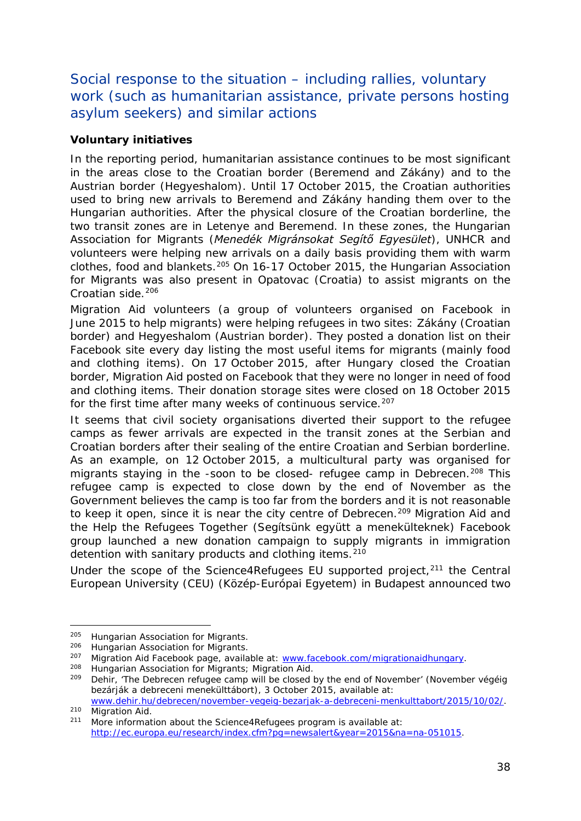<span id="page-37-1"></span>Social response to the situation – including rallies, voluntary work (such as humanitarian assistance, private persons hosting asylum seekers) and similar actions

#### **Voluntary initiatives**

In the reporting period, humanitarian assistance continues to be most significant in the areas close to the Croatian border (Beremend and Zákány) and to the Austrian border (Hegyeshalom). Until 17 October 2015, the Croatian authorities used to bring new arrivals to Beremend and Zákány handing them over to the Hungarian authorities. After the physical closure of the Croatian borderline, the two transit zones are in Letenye and Beremend. In these zones, the Hungarian Association for Migrants (*Menedék Migránsokat Segítő Egyesület*), UNHCR and volunteers were helping new arrivals on a daily basis providing them with warm clothes, food and blankets.[205](#page-37-0) On 16-17 October 2015, the Hungarian Association for Migrants was also present in Opatovac (Croatia) to assist migrants on the Croatian side.<sup>[206](#page-37-1)</sup>

Migration Aid volunteers (a group of volunteers organised on Facebook in June 2015 to help migrants) were helping refugees in two sites: Zákány (Croatian border) and Hegyeshalom (Austrian border). They posted a donation list on their Facebook site every day listing the most useful items for migrants (mainly food and clothing items). On 17 October 2015, after Hungary closed the Croatian border, Migration Aid posted on Facebook that they were no longer in need of food and clothing items. Their donation storage sites were closed on 18 October 2015 for the first time after many weeks of continuous service.<sup>[207](#page-37-2)</sup>

It seems that civil society organisations diverted their support to the refugee camps as fewer arrivals are expected in the transit zones at the Serbian and Croatian borders after their sealing of the entire Croatian and Serbian borderline. As an example, on 12 October 2015, a multicultural party was organised for migrants staying in the -soon to be closed- refugee camp in Debrecen.<sup>[208](#page-37-3)</sup> This refugee camp is expected to close down by the end of November as the Government believes the camp is too far from the borders and it is not reasonable to keep it open, since it is near the city centre of Debrecen.<sup>[209](#page-37-1)</sup> Migration Aid and the Help the Refugees Together (*Segítsünk együtt a menekülteknek)* Facebook group launched a new donation campaign to supply migrants in immigration detention with sanitary products and clothing items.<sup>[210](#page-37-1)</sup>

Under the scope of the Science4Refugees EU supported project, $211$  the Central European University (CEU) (*Közép-Európai Egyetem)* in Budapest announced two

<sup>&</sup>lt;sup>205</sup> Hungarian Association for Migrants.

<span id="page-37-0"></span><sup>206</sup> Hungarian Association for Migrants.

<span id="page-37-2"></span><sup>&</sup>lt;sup>207</sup> Migration Aid Facebook page, available at: [www.facebook.com/migrationaidhungary.](http://www.facebook.com/migrationaidhungary)

<span id="page-37-3"></span><sup>&</sup>lt;sup>208</sup> Hungarian Association for Migrants; Migration Aid.<br><sup>209</sup> Debir, 'The Debrecen refugee camp will be closed to

<sup>209</sup> Dehir, 'The Debrecen refugee camp will be closed by the end of November' (*November végéig bezárják a debreceni menekülttábort)*, 3 October 2015, available at:

[www.dehir.hu/debrecen/november-vegeig-bezarjak-a-debreceni-menkulttabort/2015/10/02/.](http://www.dehir.hu/debrecen/november-vegeig-bezarjak-a-debreceni-menkulttabort/2015/10/02/)<br>210 Miaration Aid.

<span id="page-37-4"></span><sup>&</sup>lt;sup>211</sup> More information about the Science4Refugees program is available at: [http://ec.europa.eu/research/index.cfm?pg=newsalert&year=2015&na=na-051015.](http://ec.europa.eu/research/index.cfm?pg=newsalert&year=2015&na=na-051015)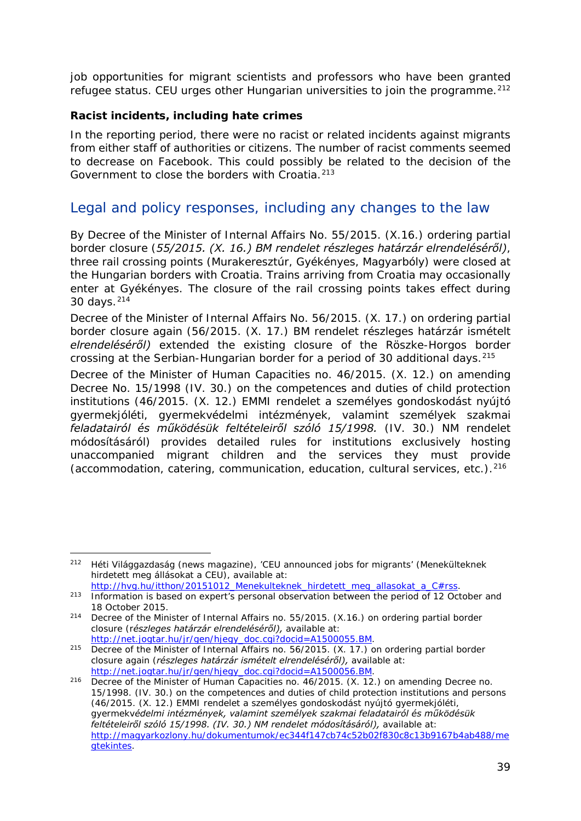job opportunities for migrant scientists and professors who have been granted refugee status. CEU urges other Hungarian universities to join the programme.<sup>[212](#page-38-0)</sup>

#### **Racist incidents, including hate crimes**

In the reporting period, there were no racist or related incidents against migrants from either staff of authorities or citizens. The number of racist comments seemed to decrease on Facebook. This could possibly be related to the decision of the Government to close the borders with Croatia.<sup>[213](#page-38-1)</sup>

### Legal and policy responses, including any changes to the law

By Decree of the Minister of Internal Affairs No. 55/2015. (X.16.) ordering partial border closure (*55/2015. (X. 16.) BM rendelet részleges határzár elrendeléséről)*, three rail crossing points (Murakeresztúr, Gyékényes, Magyarbóly) were closed at the Hungarian borders with Croatia. Trains arriving from Croatia may occasionally enter at Gyékényes. The closure of the rail crossing points takes effect during 30 days.[214](#page-38-2)

Decree of the Minister of Internal Affairs No. 56/2015. (X. 17.) on ordering partial border closure again (*56/2015. (X. 17.) BM rendelet részleges határzár ismételt elrendeléséről)* extended the existing closure of the Röszke-Horgos border crossing at the Serbian-Hungarian border for a period of 30 additional days.<sup>[215](#page-38-3)</sup>

Decree of the Minister of Human Capacities no. 46/2015. (X. 12.) on amending Decree No. 15/1998 (IV. 30.) on the competences and duties of child protection institutions (*46/2015. (X. 12.) EMMI rendelet a személyes gondoskodást nyújtó gyermekjóléti, gyermekvédelmi intézmények, valamint személyek szakmai feladatairól és működésük feltételeiről szóló 15/1998. (IV. 30.) NM rendelet módosításáról)* provides detailed rules for institutions exclusively hosting unaccompanied migrant children and the services they must provide (accommodation, catering, communication, education, cultural services, etc.). $^{216}$  $^{216}$  $^{216}$ 

<span id="page-38-0"></span><sup>212</sup> Héti Világgazdaság (news magazine), 'CEU announced jobs for migrants' (*Menekülteknek hirdetett meg állásokat a CEU),* available at: -

<span id="page-38-1"></span>[http://hvg.hu/itthon/20151012\\_Menekulteknek\\_hirdetett\\_meg\\_allasokat\\_a\\_C#rss.](http://hvg.hu/itthon/20151012_Menekulteknek_hirdetett_meg_allasokat_a_C%23rss)<br><sup>213</sup> Information is based on expert's personal observation between the period of 12 October and 18 October 2015.

<span id="page-38-2"></span><sup>214</sup> Decree of the Minister of Internal Affairs no. 55/2015. (X.16.) on ordering partial border closure (*részleges határzár elrendeléséről),* available at:<br>http://net.jogtar.hu/jr/gen/hjegy\_doc.cgi?docid=A1500055.BM.

<span id="page-38-3"></span>http://net.jogu/minister.jog.com/http://gen/highttp.com/http://net.com/highttp.com/higher-215 Decree of the Minister of Internal Affairs no. 56/2015. (X. 17.) on ordering partial border closure again (*részleges határzár ismételt elrendeléséről)*, available at:<br>http://net.jogtar.hu/jr/gen/hjegy\_doc.cgi?docid=A1500056.BM.

<span id="page-38-4"></span><sup>&</sup>lt;sup>216</sup> Decree of the Minister of Human Capacities no. 46/2015. (X. 12.) on amending Decree no. 15/1998. (IV. 30.) on the competences and duties of child protection institutions and persons (*46/2015. (X. 12.) EMMI rendelet a személyes gondoskodást nyújtó gyermekjóléti, gyermekvédelmi intézmények, valamint személyek szakmai feladatairól és működésük feltételeiről szóló 15/1998. (IV. 30.) NM rendelet módosításáról),* available at: [http://magyarkozlony.hu/dokumentumok/ec344f147cb74c52b02f830c8c13b9167b4ab488/me](http://magyarkozlony.hu/dokumentumok/ec344f147cb74c52b02f830c8c13b9167b4ab488/megtekintes) [gtekintes.](http://magyarkozlony.hu/dokumentumok/ec344f147cb74c52b02f830c8c13b9167b4ab488/megtekintes)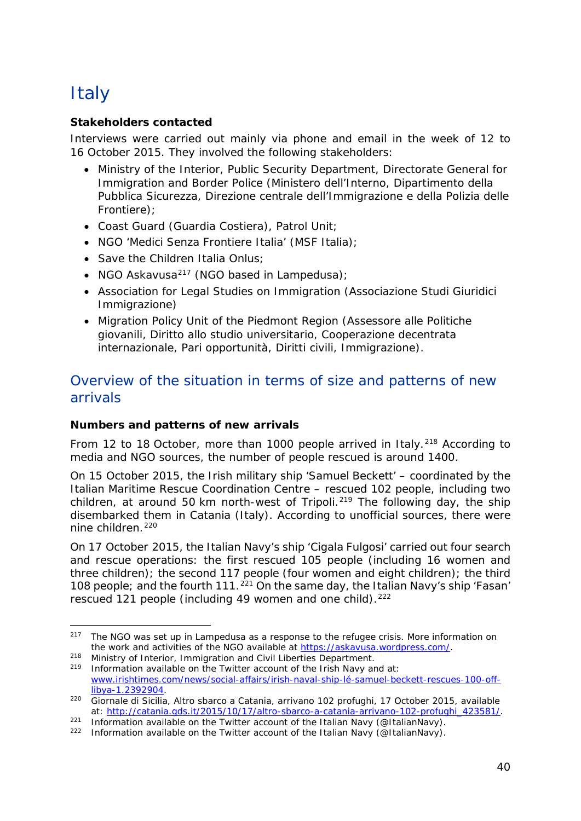## <span id="page-39-0"></span>**Italy**

#### **Stakeholders contacted**

Interviews were carried out mainly via phone and email in the week of 12 to 16 October 2015. They involved the following stakeholders:

- Ministry of the Interior, Public Security Department, Directorate General for Immigration and Border Police (Ministero dell'Interno, Dipartimento della Pubblica Sicurezza, Direzione centrale dell'Immigrazione e della Polizia delle Frontiere);
- Coast Guard (Guardia Costiera), Patrol Unit;
- NGO 'Medici Senza Frontiere Italia' (MSF Italia);
- Save the Children Italia Onlus;
- NGO Askavusa<sup>[217](#page-39-1)</sup> (NGO based in Lampedusa);
- Association for Legal Studies on Immigration (Associazione Studi Giuridici Immigrazione)
- Migration Policy Unit of the Piedmont Region (Assessore alle Politiche giovanili, Diritto allo studio universitario, Cooperazione decentrata internazionale, Pari opportunità, Diritti civili, Immigrazione).

## Overview of the situation in terms of size and patterns of new arrivals

#### **Numbers and patterns of new arrivals**

From 12 to 18 October, more than 1000 people arrived in Italy.<sup>[218](#page-39-2)</sup> According to media and NGO sources, the number of people rescued is around 1400.

On 15 October 2015, the Irish military ship 'Samuel Beckett' – coordinated by the Italian Maritime Rescue Coordination Centre – rescued 102 people, including two children, at around 50 km north-west of Tripoli.<sup>[219](#page-39-3)</sup> The following day, the ship disembarked them in Catania (Italy). According to unofficial sources, there were nine children.<sup>[220](#page-39-4)</sup>

On 17 October 2015, the Italian Navy's ship 'Cigala Fulgosi' carried out four search and rescue operations: the first rescued 105 people (including 16 women and three children); the second 117 people (four women and eight children); the third 108 people; and the fourth 111.[221](#page-39-5) On the same day, the Italian Navy's ship 'Fasan' rescued 121 people (including 49 women and one child).<sup>[222](#page-39-6)</sup>

<span id="page-39-2"></span><sup>218</sup> Ministry of Interior, Immigration and Civil Liberties Department.<br><sup>219</sup> Information available on the Twitter account of the Irish Navy and at:

<span id="page-39-1"></span>The NGO was set up in Lampedusa as a response to the refugee crisis. More information on the work and activities of the NGO available at [https://askavusa.wordpress.com/.](https://askavusa.wordpress.com/) 217

<span id="page-39-3"></span>[www.irishtimes.com/news/social-affairs/irish-naval-ship-lé-samuel-beckett-rescues-100-off](http://www.irishtimes.com/news/social-affairs/irish-naval-ship-l%C3%A9-samuel-beckett-rescues-100-off-libya-1.2392904)[libya-1.2392904.](http://www.irishtimes.com/news/social-affairs/irish-naval-ship-l%C3%A9-samuel-beckett-rescues-100-off-libya-1.2392904)

<span id="page-39-4"></span><sup>220</sup> Giornale di Sicilia, *Altro sbarco a Catania, arrivano 102 profughi,* 17 October 2015, available

<span id="page-39-5"></span><sup>&</sup>lt;sup>221</sup> Information available on the Twitter account of the Italian Navy [\(@ItalianNavy\)](https://twitter.com/ItalianNavy).<br><sup>222</sup> Information available on the Twitter account of the Italian Navy (@ItalianNavy).

<span id="page-39-6"></span>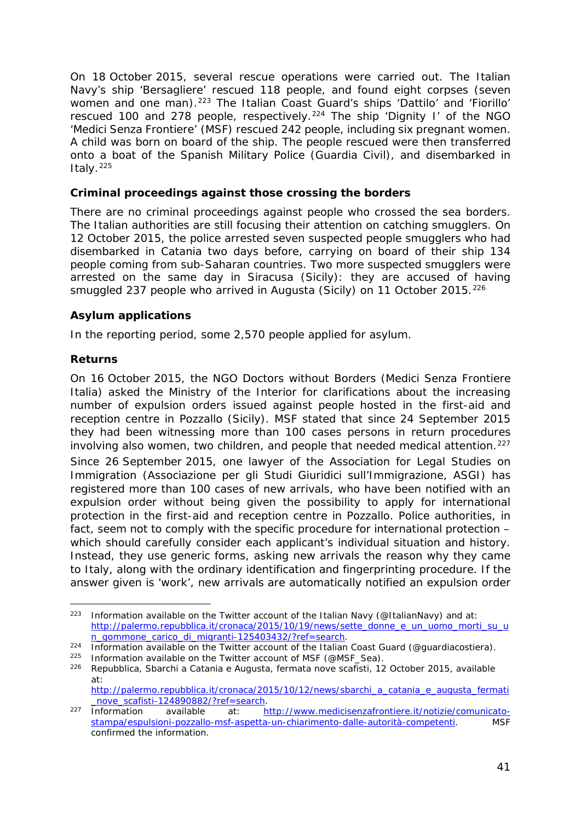<span id="page-40-1"></span>On 18 October 2015, several rescue operations were carried out. The Italian Navy's ship 'Bersagliere' rescued 118 people, and found eight corpses (seven women and one man).<sup>[223](#page-40-0)</sup> The Italian Coast Guard's ships 'Dattilo' and 'Fiorillo' rescued 100 and 278 people, respectively.<sup>[224](#page-40-1)</sup> The ship 'Dignity I' of the NGO 'Medici Senza Frontiere' (MSF) rescued 242 people, including six pregnant women. A child was born on board of the ship. The people rescued were then transferred onto a boat of the Spanish Military Police (*Guardia Civil*), and disembarked in Italy. $225$ 

#### **Criminal proceedings against those crossing the borders**

There are no criminal proceedings against people who crossed the sea borders. The Italian authorities are still focusing their attention on catching smugglers. On 12 October 2015, the police arrested seven suspected people smugglers who had disembarked in Catania two days before, carrying on board of their ship 134 people coming from sub-Saharan countries. Two more suspected smugglers were arrested on the same day in Siracusa (Sicily): they are accused of having smuggled 237 people who arrived in Augusta (Sicily) on 11 October 2015.<sup>[226](#page-40-2)</sup>

#### **Asylum applications**

In the reporting period, some 2,570 people applied for asylum.

#### **Returns**

On 16 October 2015, the NGO Doctors without Borders (*Medici Senza Frontiere Italia*) asked the Ministry of the Interior for clarifications about the increasing number of expulsion orders issued against people hosted in the first-aid and reception centre in Pozzallo (Sicily). MSF stated that since 24 September 2015 they had been witnessing more than 100 cases persons in return procedures involving also women, two children, and people that needed medical attention.<sup>[227](#page-40-3)</sup> Since 26 September 2015, one lawyer of the Association for Legal Studies on Immigration (*Associazione per gli Studi Giuridici sull'Immigrazione*, ASGI) has registered more than 100 cases of new arrivals, who have been notified with an expulsion order without being given the possibility to apply for international protection in the first-aid and reception centre in Pozzallo. Police authorities, in fact, seem not to comply with the specific procedure for international protection – which should carefully consider each applicant's individual situation and history. Instead, they use generic forms, asking new arrivals the reason why they came to Italy, along with the ordinary identification and fingerprinting procedure. If the answer given is 'work', new arrivals are automatically notified an expulsion order

<span id="page-40-0"></span>Information available on the Twitter account of the Italian Navy [\(@ItalianNavy\)](https://twitter.com/ItalianNavy) and at: [http://palermo.repubblica.it/cronaca/2015/10/19/news/sette\\_donne\\_e\\_un\\_uomo\\_morti\\_su\\_u](http://palermo.repubblica.it/cronaca/2015/10/19/news/sette_donne_e_un_uomo_morti_su_un_gommone_carico_di_migranti-125403432/?ref=search)<br>n\_gommone\_carico\_di\_migranti-125403432/?ref=search.  $223$ 

<sup>&</sup>lt;sup>224</sup> Information available on the Twitter account of the Italian Coast Guard (@guardiacostiera).<br><sup>225</sup> Information available on the Twitter account of MSF (@MSF\_Sea).

<span id="page-40-2"></span><sup>&</sup>lt;sup>226</sup> Repubblica, *Sbarchi a Catania e Augusta, fermata nove scafisti,* 12 October 2015, available at:

[http://palermo.repubblica.it/cronaca/2015/10/12/news/sbarchi\\_a\\_catania\\_e\\_augusta\\_fermati](http://palermo.repubblica.it/cronaca/2015/10/12/news/sbarchi_a_catania_e_augusta_fermati_nove_scafisti-124890882/?ref=search)\_<br>\_nove\_scafisti-124890882/?ref=search.

<span id="page-40-3"></span>november 227 Information available at: http://www.medicisenzafrontiere.it/notizie/comunicato-<br>stampa/espulsioni-pozzallo-msf-aspetta-un-chiarimento-dalle-autorità-competenti. MSF [stampa/espulsioni-pozzallo-msf-aspetta-un-chiarimento-dalle-autorità-competenti.](http://www.medicisenzafrontiere.it/notizie/comunicato-stampa/espulsioni-pozzallo-msf-aspetta-un-chiarimento-dalle-autorit%C3%A0-competenti) confirmed the information.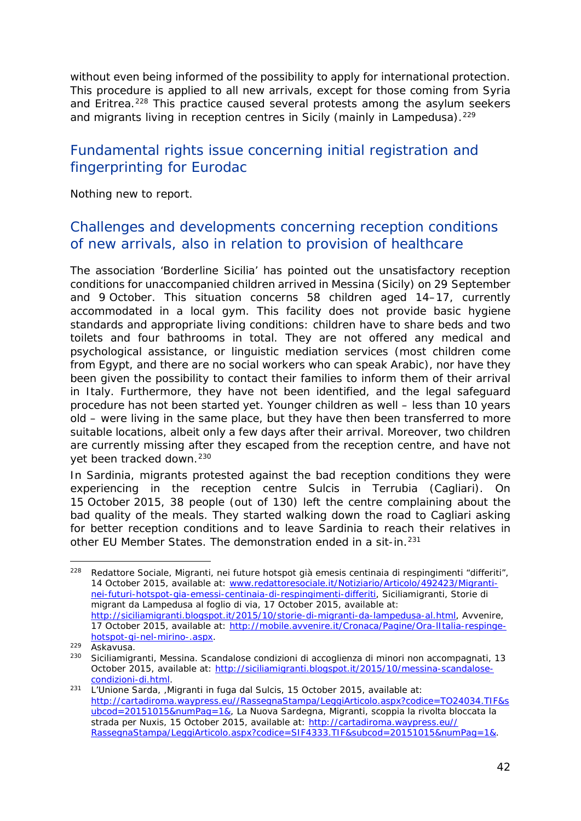without even being informed of the possibility to apply for international protection. This procedure is applied to all new arrivals, except for those coming from Syria and Eritrea.<sup>[228](#page-41-0)</sup> This practice caused several protests among the asylum seekers and migrants living in reception centres in Sicily (mainly in Lampedusa).<sup>[229](#page-41-1)</sup>

## Fundamental rights issue concerning initial registration and fingerprinting for Eurodac

Nothing new to report.

### Challenges and developments concerning reception conditions of new arrivals, also in relation to provision of healthcare

The association 'Borderline Sicilia' has pointed out the unsatisfactory reception conditions for unaccompanied children arrived in Messina (Sicily) on 29 September and 9 October. This situation concerns 58 children aged 14–17, currently accommodated in a local gym. This facility does not provide basic hygiene standards and appropriate living conditions: children have to share beds and two toilets and four bathrooms in total. They are not offered any medical and psychological assistance, or linguistic mediation services (most children come from Egypt, and there are no social workers who can speak Arabic), nor have they been given the possibility to contact their families to inform them of their arrival in Italy. Furthermore, they have not been identified, and the legal safeguard procedure has not been started yet. Younger children as well – less than 10 years old – were living in the same place, but they have then been transferred to more suitable locations, albeit only a few days after their arrival. Moreover, two children are currently missing after they escaped from the reception centre, and have not yet been tracked down.<sup>[230](#page-41-2)</sup>

In Sardinia, migrants protested against the bad reception conditions they were experiencing in the reception centre Sulcis in Terrubia (Cagliari). On 15 October 2015, 38 people (out of 130) left the centre complaining about the bad quality of the meals. They started walking down the road to Cagliari asking for better reception conditions and to leave Sardinia to reach their relatives in other EU Member States. The demonstration ended in a sit-in.<sup>[231](#page-41-3)</sup>

<span id="page-41-0"></span><sup>228</sup> Redattore Sociale, *Migranti, nei future hotspot già emesis centinaia di respingimenti "differiti",* 14 October 2015, available at: [www.redattoresociale.it/Notiziario/Articolo/492423/Migranti](http://www.redattoresociale.it/Notiziario/Articolo/492423/Migranti-nei-futuri-hotspot-gia-emessi-centinaia-di-respingimenti-differiti)[nei-futuri-hotspot-gia-emessi-centinaia-di-respingimenti-differiti,](http://www.redattoresociale.it/Notiziario/Articolo/492423/Migranti-nei-futuri-hotspot-gia-emessi-centinaia-di-respingimenti-differiti) Siciliamigranti, *Storie di migrant da Lampedusa al foglio di via,* 17 October 2015, available at: [http://siciliamigranti.blogspot.it/2015/10/storie-di-migranti-da-lampedusa-al.html,](http://siciliamigranti.blogspot.it/2015/10/storie-di-migranti-da-lampedusa-al.html) Avvenire, 17 October 2015, available at: [http://mobile.avvenire.it/Cronaca/Pagine/Ora-lItalia-respinge](http://mobile.avvenire.it/Cronaca/Pagine/Ora-lItalia-respinge-hotspot-gi-nel-mirino-.aspx)[hotspot-gi-nel-mirino-.aspx.](http://mobile.avvenire.it/Cronaca/Pagine/Ora-lItalia-respinge-hotspot-gi-nel-mirino-.aspx)<br><sup>229</sup> Askavusa.<br><sup>230</sup> Siciliamigranti, *Messina. Scandalose condizioni di accoglienza di minori non accompagnati, 13*  $228$ 

<span id="page-41-1"></span>

<span id="page-41-2"></span>October 2015, available at: [http://siciliamigranti.blogspot.it/2015/10/messina-scandalose-](http://siciliamigranti.blogspot.it/2015/10/messina-scandalose-condizioni-di.html)

<span id="page-41-3"></span>[condizioni-di.html.](http://siciliamigranti.blogspot.it/2015/10/messina-scandalose-condizioni-di.html) 231 L'Unione Sarda, *,Migranti in fuga dal Sulcis*, 15 October 2015, available at: [http://cartadiroma.waypress.eu//RassegnaStampa/LeggiArticolo.aspx?codice=TO24034.TIF&s](http://cartadiroma.waypress.eu/RassegnaStampa/LeggiArticolo.aspx?codice=TO24034.TIF&subcod=20151015&numPag=1&) [ubcod=20151015&numPag=1&,](http://cartadiroma.waypress.eu/RassegnaStampa/LeggiArticolo.aspx?codice=TO24034.TIF&subcod=20151015&numPag=1&) La Nuova Sardegna, *Migranti, scoppia la rivolta bloccata la strada per Nuxis*, 15 October 2015, available at: [http://cartadiroma.waypress.eu//](http://cartadiroma.waypress.eu/RassegnaStampa/LeggiArticolo.aspx?codice=SIF4333.TIF&subcod=20151015&numPag=1&) [RassegnaStampa/LeggiArticolo.aspx?codice=SIF4333.TIF&subcod=20151015&numPag=1&.](http://cartadiroma.waypress.eu/RassegnaStampa/LeggiArticolo.aspx?codice=SIF4333.TIF&subcod=20151015&numPag=1&)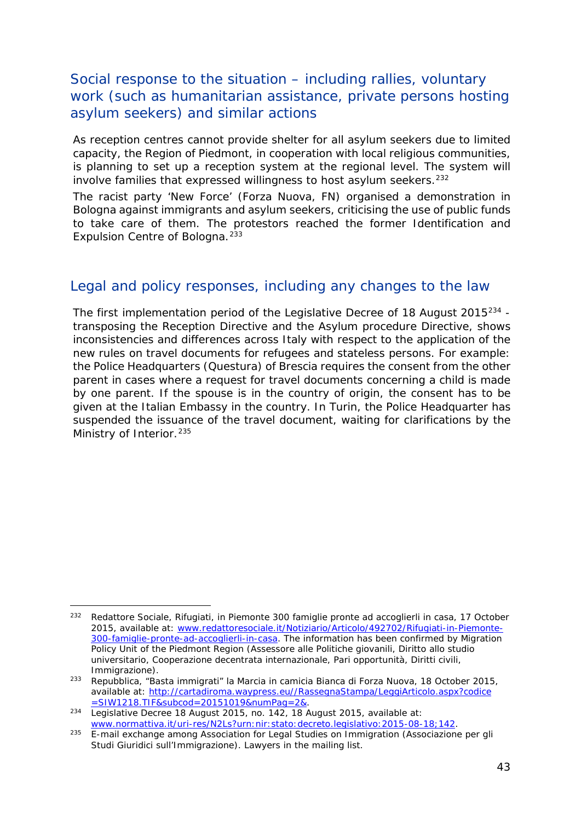## <span id="page-42-3"></span>Social response to the situation – including rallies, voluntary work (such as humanitarian assistance, private persons hosting asylum seekers) and similar actions

As reception centres cannot provide shelter for all asylum seekers due to limited capacity, the Region of Piedmont, in cooperation with local religious communities, is planning to set up a reception system at the regional level. The system will involve families that expressed willingness to host asylum seekers.<sup>[232](#page-42-0)</sup>

The racist party 'New Force' (*Forza Nuova*, FN) organised a demonstration in Bologna against immigrants and asylum seekers, criticising the use of public funds to take care of them. The protestors reached the former Identification and Expulsion Centre of Bologna.<sup>[233](#page-42-1)</sup>

## Legal and policy responses, including any changes to the law

The first implementation period of the Legislative Decree of 18 August 2015<sup>[234](#page-42-2)</sup> transposing the Reception Directive and the Asylum procedure Directive, shows inconsistencies and differences across Italy with respect to the application of the new rules on travel documents for refugees and stateless persons. For example: the Police Headquarters (*Questura*) of Brescia requires the consent from the other parent in cases where a request for travel documents concerning a child is made by one parent. If the spouse is in the country of origin, the consent has to be given at the Italian Embassy in the country. In Turin, the Police Headquarter has suspended the issuance of the travel document, waiting for clarifications by the Ministry of Interior.<sup>[235](#page-42-3)</sup>

<span id="page-42-0"></span><sup>232</sup> Redattore Sociale, *Rifugiati, in Piemonte 300 famiglie pronte ad accoglierli in casa,* 17 October 2015, available at: [www.redattoresociale.it/Notiziario/Articolo/492702/Rifugiati-in-Piemonte-](http://www.redattoresociale.it/Notiziario/Articolo/492702/Rifugiati-in-Piemonte-300-famiglie-pronte-ad-accoglierli-in-casa)[300-famiglie-pronte-ad-accoglierli-in-casa.](http://www.redattoresociale.it/Notiziario/Articolo/492702/Rifugiati-in-Piemonte-300-famiglie-pronte-ad-accoglierli-in-casa) The information has been confirmed by Migration Policy Unit of the Piedmont Region (*Assessore alle Politiche giovanili, Diritto allo studio universitario, Cooperazione decentrata internazionale, Pari opportunità, Diritti civili, Immigrazione).*

<span id="page-42-1"></span><sup>233</sup> Repubblica, *"Basta immigrati" la Marcia in camicia Bianca di Forza Nuova,* 18 October 2015, available at: [http://cartadiroma.waypress.eu//RassegnaStampa/LeggiArticolo.aspx?codice](http://cartadiroma.waypress.eu/RassegnaStampa/LeggiArticolo.aspx?codice=SIW1218.TIF&subcod=20151019&numPag=2&)<br>=SIW1218.TIF&subcod=20151019&numPag=2&.

<span id="page-42-2"></span>Estim Packet 18. August 2015, no. 142, 18 August 2015, available at:<br>www.normattiva.it/uri-res/N2Ls?urn:nir:stato:decreto.legislativo: 2015-08-18; 142.

**E-mail exchange among Association for Legal Studies on Immigration (Associazione per gli** *Studi Giuridici sull'Immigrazione)*. Lawyers in the mailing list.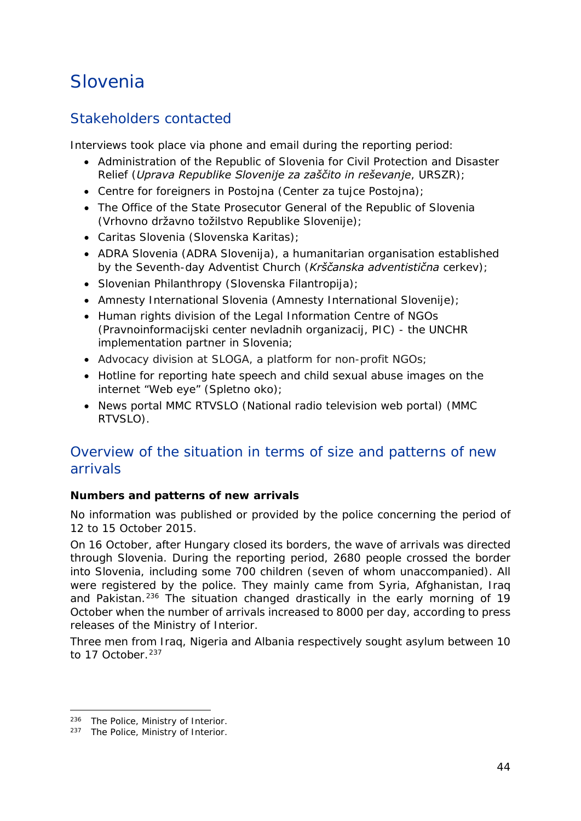## <span id="page-43-0"></span>Slovenia

## Stakeholders contacted

Interviews took place via phone and email during the reporting period:

- Administration of the Republic of Slovenia for Civil Protection and Disaster Relief (*Uprava Republike Slovenije za zaščito in reševanje*, *URSZR*);
- Centre for foreigners in Postojna (*Center za tujce Postojna*);
- The Office of the State Prosecutor General of the Republic of Slovenia (*Vrhovno državno tožilstvo Republike Slovenije*);
- Caritas Slovenia (*Slovenska Karitas*);
- ADRA Slovenia (*ADRA Slovenija*), a humanitarian organisation established by the Seventh-day Adventist Church (*Krščanska adventistična cerkev*);
- Slovenian Philanthropy (*Slovenska Filantropija*);
- Amnesty International Slovenia (*Amnesty International Slovenije*);
- Human rights division of the Legal Information Centre of NGOs (*Pravnoinformacijski center nevladnih organizacij, PIC*) - the UNCHR implementation partner in Slovenia;
- Advocacy division at SLOGA, a platform for non-profit NGOs;
- Hotline for reporting hate speech and child sexual abuse images on the internet "Web eye" (*Spletno oko*);
- News portal MMC RTVSLO (National radio television web portal) (*MMC RTVSLO*).

## Overview of the situation in terms of size and patterns of new arrivals

#### **Numbers and patterns of new arrivals**

No information was published or provided by the police concerning the period of 12 to 15 October 2015.

On 16 October, after Hungary closed its borders, the wave of arrivals was directed through Slovenia. During the reporting period, 2680 people crossed the border into Slovenia, including some 700 children (seven of whom unaccompanied). All were registered by the police. They mainly came from Syria, Afghanistan, Iraq and Pakistan.<sup>[236](#page-43-1)</sup> The situation changed drastically in the early morning of 19 October when the number of arrivals increased to 8000 per day, according to press releases of the Ministry of Interior.

Three men from Iraq, Nigeria and Albania respectively sought asylum between 10 to 17 October<sup>[237](#page-43-2)</sup>

<sup>236</sup> The Police, Ministry of Interior. j,

<span id="page-43-2"></span><span id="page-43-1"></span><sup>237</sup> The Police, Ministry of Interior.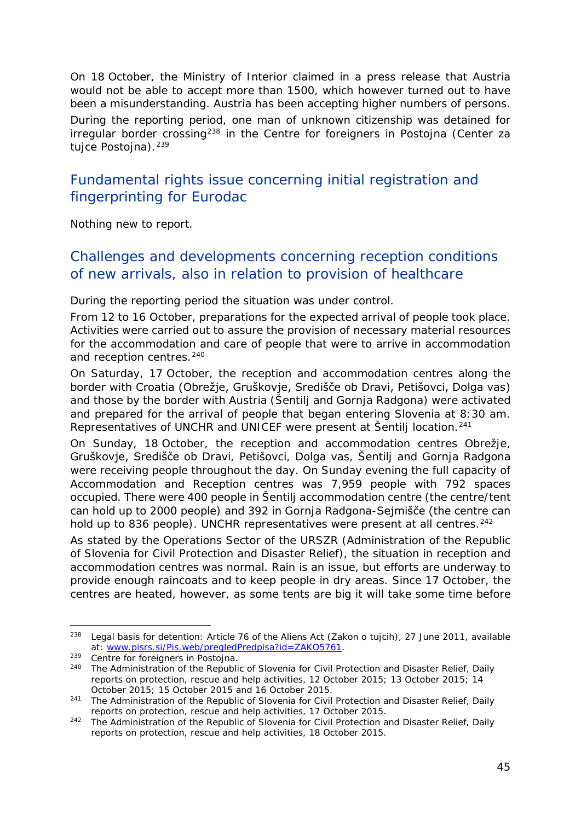<span id="page-44-1"></span>On 18 October, the Ministry of Interior claimed in a press release that Austria would not be able to accept more than 1500, which however turned out to have been a misunderstanding. Austria has been accepting higher numbers of persons.

During the reporting period, one man of unknown citizenship was detained for irregular border crossing[238](#page-44-0) in the Centre for foreigners in Postojna (*Center za tujce Postojna*).[239](#page-44-1) 

## Fundamental rights issue concerning initial registration and fingerprinting for Eurodac

Nothing new to report.

## Challenges and developments concerning reception conditions of new arrivals, also in relation to provision of healthcare

During the reporting period the situation was under control.

From 12 to 16 October, preparations for the expected arrival of people took place. Activities were carried out to assure the provision of necessary material resources for the accommodation and care of people that were to arrive in accommodation and reception centres.<sup>[240](#page-44-2)</sup>

On Saturday, 17 October, the reception and accommodation centres along the border with Croatia (Obrežje, Gruškovje, Središče ob Dravi, Petišovci, Dolga vas) and those by the border with Austria (Šentilj and Gornja Radgona) were activated and prepared for the arrival of people that began entering Slovenia at 8:30 am. Representatives of UNCHR and UNICEF were present at Šentilj location.[241](#page-44-3)

On Sunday, 18 October, the reception and accommodation centres Obrežje, Gruškovje, Središče ob Dravi, Petišovci, Dolga vas, Šentilj and Gornja Radgona were receiving people throughout the day. On Sunday evening the full capacity of Accommodation and Reception centres was 7,959 people with 792 spaces occupied. There were 400 people in Šentilj accommodation centre (the centre/tent can hold up to 2000 people) and 392 in Gornja Radgona-Sejmišče (the centre can hold up to 836 people). UNCHR representatives were present at all centres.<sup>[242](#page-44-4)</sup>

As stated by the Operations Sector of the *URSZR* (Administration of the Republic of Slovenia for Civil Protection and Disaster Relief), the situation in reception and accommodation centres was normal. Rain is an issue, but efforts are underway to provide enough raincoats and to keep people in dry areas. Since 17 October, the centres are heated, however, as some tents are big it will take some time before

<span id="page-44-0"></span><sup>238</sup> Legal basis for detention: Article 76 of the Aliens Act (*Zakon o tujcih*), 27 June 2011, available at: [www.pisrs.si/Pis.web/pregledPredpisa?id=ZAKO5761.](http://www.pisrs.si/Pis.web/pregledPredpisa?id=ZAKO5761) 238

<span id="page-44-2"></span><sup>&</sup>lt;sup>239</sup> Centre for foreigners in Postojna.<br><sup>240</sup> The Administration of the Republic

<sup>240</sup> The Administration of the Republic of Slovenia for Civil Protection and Disaster Relief, *Daily reports on protection, rescue and help activities,* 12 October 2015; 13 October 2015; 14 October 2015; 15 October 2015 and 16 October 2015.

<span id="page-44-3"></span><sup>241</sup> The Administration of the Republic of Slovenia for Civil Protection and Disaster Relief, *Daily reports on protection, rescue and help activities,* 17 October 2015.

<span id="page-44-4"></span><sup>242</sup> The Administration of the Republic of Slovenia for Civil Protection and Disaster Relief, *Daily reports on protection, rescue and help activities,* 18 October 2015.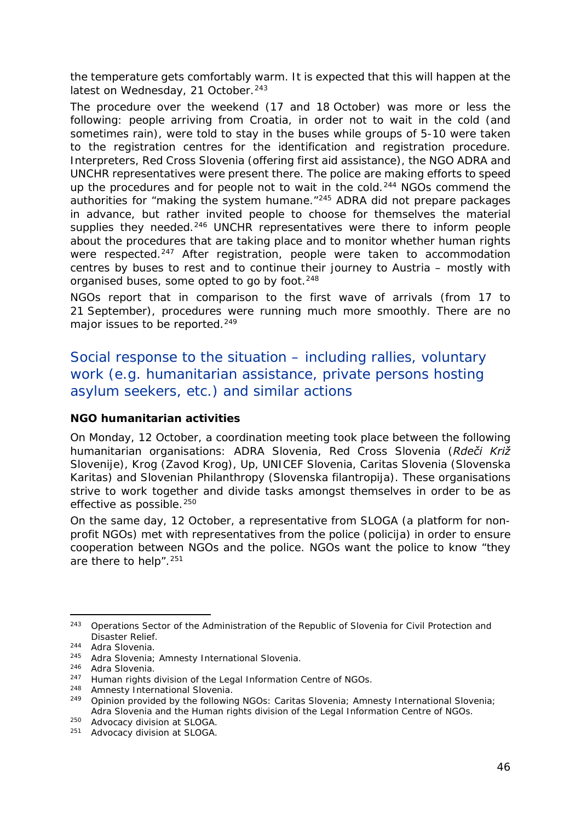the temperature gets comfortably warm. It is expected that this will happen at the latest on Wednesday, 21 October.<sup>[243](#page-45-0)</sup>

The procedure over the weekend (17 and 18 October) was more or less the following: people arriving from Croatia, in order not to wait in the cold (and sometimes rain), were told to stay in the buses while groups of 5-10 were taken to the registration centres for the identification and registration procedure. Interpreters, Red Cross Slovenia (offering first aid assistance), the NGO ADRA and UNCHR representatives were present there. The police are making efforts to speed up the procedures and for people not to wait in the cold.<sup>[244](#page-45-1)</sup> NGOs commend the authorities for "making the system humane."<sup>[245](#page-45-2)</sup> ADRA did not prepare packages in advance, but rather invited people to choose for themselves the material supplies they needed.<sup>[246](#page-45-3)</sup> UNCHR representatives were there to inform people about the procedures that are taking place and to monitor whether human rights were respected.<sup>247</sup> After registration, people were taken to accommodation centres by buses to rest and to continue their journey to Austria – mostly with organised buses, some opted to go by foot.<sup>[248](#page-45-5)</sup>

NGOs report that in comparison to the first wave of arrivals (from 17 to 21 September), procedures were running much more smoothly. There are no major issues to be reported.<sup>[249](#page-45-6)</sup>

Social response to the situation – including rallies, voluntary work (e.g. humanitarian assistance, private persons hosting asylum seekers, etc.) and similar actions

#### **NGO humanitarian activities**

On Monday, 12 October, a coordination meeting took place between the following humanitarian organisations: ADRA Slovenia, Red Cross Slovenia (*Rdeči Križ Slovenije*), Krog (*Zavod Krog*), Up, UNICEF Slovenia, Caritas Slovenia (*Slovenska Karitas*) and Slovenian Philanthropy (*Slovenska filantropija*). These organisations strive to work together and divide tasks amongst themselves in order to be as effective as possible.<sup>[250](#page-45-7)</sup>

On the same day, 12 October, a representative from SLOGA (a platform for nonprofit NGOs) met with representatives from the police (*policija*) in order to ensure cooperation between NGOs and the police. NGOs want the police to know "they are there to help".[251](#page-45-8)

<span id="page-45-0"></span><sup>243</sup> Operations Sector of the Administration of the Republic of Slovenia for Civil Protection and Disaster Relief.<br>
<sup>244</sup> Adra Slovenia.<br>
<sup>245</sup> Adra Slovenia: 243

<span id="page-45-1"></span>

<span id="page-45-2"></span> $245$  Adra Slovenia; Amnesty International Slovenia.<br> $246$  Adra Slovenia

<span id="page-45-3"></span> $246$  Adra Slovenia.<br> $247$  Human rights of

<span id="page-45-4"></span><sup>&</sup>lt;sup>247</sup> Human rights division of the Legal Information Centre of NGOs.<br> $^{248}$  Ampecty International Slovenia

Amnesty International Slovenia.

<span id="page-45-6"></span><span id="page-45-5"></span><sup>249</sup> Opinion provided by the following NGOs: Caritas Slovenia; Amnesty International Slovenia; Adra Slovenia and the Human rights division of the Legal Information Centre of NGOs.

<span id="page-45-7"></span><sup>250</sup> Advocacy division at SLOGA.

<span id="page-45-8"></span><sup>251</sup> Advocacy division at SLOGA.